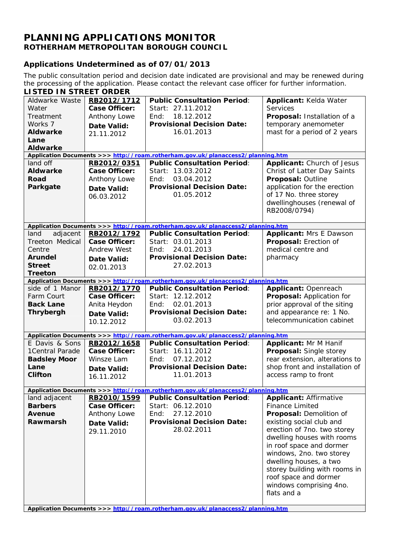## **PLANNING APPLICATIONS MONITOR ROTHERHAM METROPOLITAN BOROUGH COUNCIL**

## **Applications Undetermined as of 07/01/2013**

The public consultation period and decision date indicated are provisional and may be renewed during the processing of the application. Please contact the relevant case officer for further information.

| <b>LISTED IN STREET ORDER</b>   |                      |                                                                                 |                                        |
|---------------------------------|----------------------|---------------------------------------------------------------------------------|----------------------------------------|
| Aldwarke Waste                  | RB2012/1712          | <b>Public Consultation Period:</b>                                              | Applicant: Kelda Water                 |
| Water                           | <b>Case Officer:</b> | Start: 27.11.2012                                                               | <b>Services</b>                        |
| Treatment                       | Anthony Lowe         | 18.12.2012<br>End:                                                              | Proposal: Installation of a            |
| Works 7                         | <b>Date Valid:</b>   | <b>Provisional Decision Date:</b>                                               | temporary anemometer                   |
| <b>Aldwarke</b>                 | 21.11.2012           | 16.01.2013                                                                      | mast for a period of 2 years           |
| Lane                            |                      |                                                                                 |                                        |
| <b>Aldwarke</b>                 |                      |                                                                                 |                                        |
|                                 |                      | Application Documents >>> http://roam.rotherham.gov.uk/planaccess2/planning.htm |                                        |
| land off                        | RB2012/0351          | <b>Public Consultation Period:</b>                                              | Applicant: Church of Jesus             |
| <b>Aldwarke</b>                 | <b>Case Officer:</b> | Start: 13.03.2012                                                               | Christ of Latter Day Saints            |
| Road                            | Anthony Lowe         | 03.04.2012<br>End:                                                              | Proposal: Outline                      |
| Parkgate                        | <b>Date Valid:</b>   | <b>Provisional Decision Date:</b>                                               | application for the erection           |
|                                 | 06.03.2012           | 01.05.2012                                                                      | of 17 No. three storey                 |
|                                 |                      |                                                                                 | dwellinghouses (renewal of             |
|                                 |                      |                                                                                 | RB2008/0794)                           |
|                                 |                      |                                                                                 |                                        |
|                                 |                      | Application Documents >>> http://roam.rotherham.gov.uk/planaccess2/planning.htm |                                        |
| land<br>adjacent                | RB2012/1792          | <b>Public Consultation Period:</b>                                              | <b>Applicant: Mrs E Dawson</b>         |
| Treeton Medical                 | <b>Case Officer:</b> | Start: 03.01.2013                                                               | Proposal: Erection of                  |
| Centre                          | <b>Andrew West</b>   | 24.01.2013<br>End:                                                              | medical centre and                     |
| <b>Arundel</b>                  | <b>Date Valid:</b>   | <b>Provisional Decision Date:</b>                                               | pharmacy                               |
| <b>Street</b><br><b>Treeton</b> | 02.01.2013           | 27.02.2013                                                                      |                                        |
|                                 |                      | Application Documents >>> http://roam.rotherham.gov.uk/planaccess2/planning.htm |                                        |
| side of 1 Manor                 | RB2012/1770          | <b>Public Consultation Period:</b>                                              | Applicant: Openreach                   |
| Farm Court                      | <b>Case Officer:</b> | Start: 12.12.2012                                                               | Proposal: Application for              |
| <b>Back Lane</b>                | Anita Heydon         | 02.01.2013<br>End:                                                              | prior approval of the siting           |
| <b>Thrybergh</b>                | Date Valid:          | <b>Provisional Decision Date:</b>                                               | and appearance re: 1 No.               |
|                                 | 10.12.2012           | 03.02.2013                                                                      | telecommunication cabinet              |
|                                 |                      |                                                                                 |                                        |
|                                 |                      | Application Documents >>> http://roam.rotherham.gov.uk/planaccess2/planning.htm |                                        |
| E Davis & Sons                  | RB2012/1658          | <b>Public Consultation Period:</b>                                              | <b>Applicant: Mr M Hanif</b>           |
| 1Central Parade                 | <b>Case Officer:</b> | Start: 16.11.2012                                                               | Proposal: Single storey                |
| <b>Badsley Moor</b>             | Winsze Lam           | 07.12.2012<br>End:                                                              | rear extension, alterations to         |
| Lane                            | <b>Date Valid:</b>   | <b>Provisional Decision Date:</b>                                               | shop front and installation of         |
| <b>Clifton</b>                  | 16.11.2012           | 11.01.2013                                                                      | access ramp to front                   |
|                                 |                      |                                                                                 |                                        |
|                                 |                      | Application Documents >>> http://roam.rotherham.gov.uk/planaccess2/planning.htm |                                        |
| land adjacent                   | RB2010/1599          | <b>Public Consultation Period:</b>                                              | <b>Applicant: Affirmative</b>          |
| <b>Barbers</b>                  | Case Officer:        | Start: 06.12.2010                                                               | <b>Finance Limited</b>                 |
| Avenue                          | Anthony Lowe         | 27.12.2010<br>End:                                                              | Proposal: Demolition of                |
| Rawmarsh                        | Date Valid:          | <b>Provisional Decision Date:</b>                                               | existing social club and               |
|                                 | 29.11.2010           | 28.02.2011                                                                      | erection of 7no. two storey            |
|                                 |                      |                                                                                 | dwelling houses with rooms             |
|                                 |                      |                                                                                 | in roof space and dormer               |
|                                 |                      |                                                                                 | windows, 2no. two storey               |
|                                 |                      |                                                                                 | dwelling houses, a two                 |
|                                 |                      |                                                                                 | storey building with rooms in          |
|                                 |                      |                                                                                 | roof space and dormer                  |
|                                 |                      |                                                                                 | windows comprising 4no.<br>flats and a |
|                                 |                      |                                                                                 |                                        |
|                                 |                      |                                                                                 |                                        |
|                                 |                      | Application Documents >>> http://roam.rotherham.gov.uk/planaccess2/planning.htm |                                        |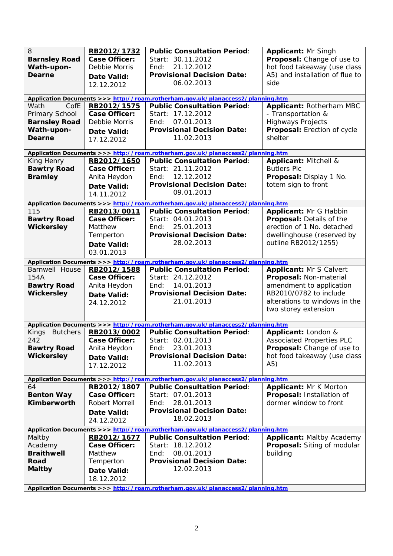| 8<br><b>Barnsley Road</b><br>Wath-upon-<br><b>Dearne</b><br>CofE<br>Wath<br>Primary School | RB2012/1732<br><b>Case Officer:</b><br>Debbie Morris<br>Date Valid:<br>12.12.2012<br>RB2012/1575<br><b>Case Officer:</b> | <b>Public Consultation Period:</b><br>Start: 30.11.2012<br>21.12.2012<br>End:<br><b>Provisional Decision Date:</b><br>06.02.2013<br>Application Documents >>> http://roam.rotherham.gov.uk/planaccess2/planning.htm<br><b>Public Consultation Period:</b><br>Start: 17.12.2012 | <b>Applicant: Mr Singh</b><br>Proposal: Change of use to<br>hot food takeaway (use class<br>A5) and installation of flue to<br>side<br>Applicant: Rotherham MBC<br>- Transportation & |
|--------------------------------------------------------------------------------------------|--------------------------------------------------------------------------------------------------------------------------|--------------------------------------------------------------------------------------------------------------------------------------------------------------------------------------------------------------------------------------------------------------------------------|---------------------------------------------------------------------------------------------------------------------------------------------------------------------------------------|
| <b>Barnsley Road</b><br>Wath-upon-<br><b>Dearne</b>                                        | Debbie Morris<br>Date Valid:<br>17.12.2012                                                                               | 07.01.2013<br>End:<br><b>Provisional Decision Date:</b><br>11.02.2013                                                                                                                                                                                                          | <b>Highways Projects</b><br>Proposal: Erection of cycle<br>shelter                                                                                                                    |
|                                                                                            |                                                                                                                          | Application Documents >>> http://roam.rotherham.gov.uk/planaccess2/planning.htm                                                                                                                                                                                                |                                                                                                                                                                                       |
| King Henry<br><b>Bawtry Road</b><br><b>Bramley</b>                                         | RB2012/1650<br><b>Case Officer:</b><br>Anita Heydon<br>Date Valid:<br>14.11.2012                                         | <b>Public Consultation Period:</b><br>Start: 21.11.2012<br>12.12.2012<br>End:<br><b>Provisional Decision Date:</b><br>09.01.2013                                                                                                                                               | Applicant: Mitchell &<br><b>Butlers Plc</b><br>Proposal: Display 1 No.<br>totem sign to front                                                                                         |
|                                                                                            |                                                                                                                          | Application Documents >>> http://roam.rotherham.gov.uk/planaccess2/planning.htm                                                                                                                                                                                                |                                                                                                                                                                                       |
| 115<br><b>Bawtry Road</b><br><b>Wickersley</b>                                             | RB2013/0011<br><b>Case Officer:</b><br>Matthew<br>Temperton<br>Date Valid:<br>03.01.2013                                 | <b>Public Consultation Period:</b><br>Start: 04.01.2013<br>25.01.2013<br>End:<br><b>Provisional Decision Date:</b><br>28.02.2013                                                                                                                                               | Applicant: Mr G Habbin<br>Proposal: Details of the<br>erection of 1 No. detached<br>dwellinghouse (reserved by<br>outline RB2012/1255)                                                |
|                                                                                            |                                                                                                                          | Application Documents >>> http://roam.rotherham.gov.uk/planaccess2/planning.htm                                                                                                                                                                                                |                                                                                                                                                                                       |
| Barnwell House<br>154A<br><b>Bawtry Road</b><br><b>Wickersley</b>                          | RB2012/1588<br><b>Case Officer:</b><br>Anita Heydon<br>Date Valid:<br>24.12.2012                                         | <b>Public Consultation Period:</b><br>Start: 24.12.2012<br>14.01.2013<br>End:<br><b>Provisional Decision Date:</b><br>21.01.2013                                                                                                                                               | <b>Applicant: Mr S Calvert</b><br>Proposal: Non-material<br>amendment to application<br>RB2010/0782 to include<br>alterations to windows in the<br>two storey extension               |
|                                                                                            |                                                                                                                          | Application Documents >>> http://roam.rotherham.gov.uk/planaccess2/planning.htm                                                                                                                                                                                                |                                                                                                                                                                                       |
| Kings<br><b>Butchers</b><br>242<br><b>Bawtry Road</b><br><b>Wickersley</b>                 | RB2013/0002<br><b>Case Officer:</b><br>Anita Heydon<br>Date Valid:<br>17.12.2012                                         | <b>Public Consultation Period:</b><br>Start: 02.01.2013<br>23.01.2013<br>End:<br><b>Provisional Decision Date:</b><br>11.02.2013                                                                                                                                               | Applicant: London &<br><b>Associated Properties PLC</b><br>Proposal: Change of use to<br>hot food takeaway (use class<br>A5)                                                          |
|                                                                                            |                                                                                                                          | Application Documents >>> http://roam.rotherham.gov.uk/planaccess2/planning.htm                                                                                                                                                                                                |                                                                                                                                                                                       |
| 64<br><b>Benton Way</b><br><b>Kimberworth</b>                                              | RB2012/1807<br><b>Case Officer:</b><br><b>Robert Morrell</b><br>Date Valid:<br>24.12.2012                                | <b>Public Consultation Period:</b><br>Start: 07.01.2013<br>28.01.2013<br>End:<br><b>Provisional Decision Date:</b><br>18.02.2013                                                                                                                                               | <b>Applicant: Mr K Morton</b><br>Proposal: Installation of<br>dormer window to front                                                                                                  |
|                                                                                            |                                                                                                                          | Application Documents >>> http://roam.rotherham.gov.uk/planaccess2/planning.htm                                                                                                                                                                                                |                                                                                                                                                                                       |
| Maltby<br>Academy<br><b>Braithwell</b><br>Road<br><b>Maltby</b>                            | RB2012/1677<br><b>Case Officer:</b><br>Matthew<br>Temperton<br>Date Valid:<br>18.12.2012                                 | <b>Public Consultation Period:</b><br>Start: 18.12.2012<br>08.01.2013<br>End:<br><b>Provisional Decision Date:</b><br>12.02.2013<br>Application Documents >>> http://roam.retherham.gov.uk/planaceoss?/planning.htm                                                            | <b>Applicant: Maltby Academy</b><br>Proposal: Siting of modular<br>building                                                                                                           |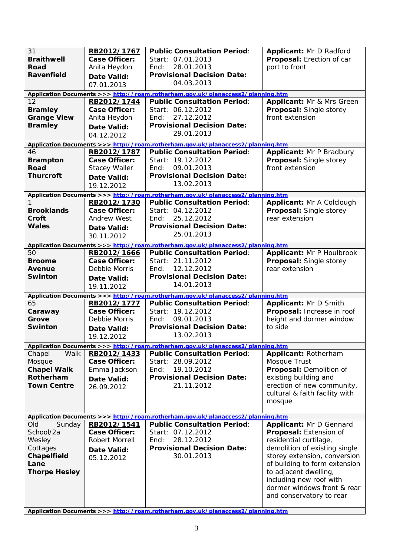| 31<br><b>Braithwell</b><br>Road<br>Ravenfield                                                   | RB2012/1767<br><b>Case Officer:</b><br>Anita Heydon<br><b>Date Valid:</b><br>07.01.2013  | <b>Public Consultation Period:</b><br>Start: 07.01.2013<br>28.01.2013<br>End:<br><b>Provisional Decision Date:</b><br>04.03.2013 | Applicant: Mr D Radford<br>Proposal: Erection of car<br>port to front                                                                                                                                                                                                                        |
|-------------------------------------------------------------------------------------------------|------------------------------------------------------------------------------------------|----------------------------------------------------------------------------------------------------------------------------------|----------------------------------------------------------------------------------------------------------------------------------------------------------------------------------------------------------------------------------------------------------------------------------------------|
|                                                                                                 |                                                                                          | Application Documents >>> http://roam.rotherham.gov.uk/planaccess2/planning.htm                                                  |                                                                                                                                                                                                                                                                                              |
| 12<br><b>Bramley</b><br><b>Grange View</b><br><b>Bramley</b>                                    | RB2012/1744<br><b>Case Officer:</b><br>Anita Heydon<br><b>Date Valid:</b><br>04.12.2012  | <b>Public Consultation Period:</b><br>Start: 06.12.2012<br>27.12.2012<br>End:<br><b>Provisional Decision Date:</b><br>29.01.2013 | Applicant: Mr & Mrs Green<br>Proposal: Single storey<br>front extension                                                                                                                                                                                                                      |
|                                                                                                 |                                                                                          | Application Documents >>> http://roam.rotherham.gov.uk/planaccess2/planning.htm                                                  |                                                                                                                                                                                                                                                                                              |
| 46<br><b>Brampton</b><br><b>Road</b><br><b>Thurcroft</b>                                        | RB2012/1787<br><b>Case Officer:</b><br><b>Stacey Waller</b><br>Date Valid:<br>19.12.2012 | <b>Public Consultation Period:</b><br>Start: 19.12.2012<br>09.01.2013<br>End:<br><b>Provisional Decision Date:</b><br>13.02.2013 | <b>Applicant: Mr P Bradbury</b><br>Proposal: Single storey<br>front extension                                                                                                                                                                                                                |
|                                                                                                 |                                                                                          | Application Documents >>> http://roam.rotherham.gov.uk/planaccess2/planning.htm                                                  |                                                                                                                                                                                                                                                                                              |
| <b>Brooklands</b><br>Croft<br>Wales                                                             | RB2012/1730<br><b>Case Officer:</b><br><b>Andrew West</b><br>Date Valid:<br>30.11.2012   | <b>Public Consultation Period:</b><br>Start: 04.12.2012<br>25.12.2012<br>End:<br><b>Provisional Decision Date:</b><br>25.01.2013 | Applicant: Mr A Colclough<br>Proposal: Single storey<br>rear extension                                                                                                                                                                                                                       |
|                                                                                                 |                                                                                          | Application Documents >>> http://roam.rotherham.gov.uk/planaccess2/planning.htm                                                  |                                                                                                                                                                                                                                                                                              |
| 50<br><b>Broome</b><br><b>Avenue</b><br><b>Swinton</b>                                          | RB2012/1666<br><b>Case Officer:</b><br>Debbie Morris<br>Date Valid:<br>19.11.2012        | <b>Public Consultation Period:</b><br>Start: 21.11.2012<br>12.12.2012<br>End:<br><b>Provisional Decision Date:</b><br>14.01.2013 | <b>Applicant: Mr P Houlbrook</b><br>Proposal: Single storey<br>rear extension                                                                                                                                                                                                                |
|                                                                                                 |                                                                                          | Application Documents >>> http://roam.rotherham.gov.uk/planaccess2/planning.htm                                                  |                                                                                                                                                                                                                                                                                              |
| 65<br>Caraway<br>Grove<br><b>Swinton</b>                                                        | RB2012/1777<br><b>Case Officer:</b><br>Debbie Morris<br>Date Valid:<br>19.12.2012        | <b>Public Consultation Period:</b><br>Start: 19.12.2012<br>09.01.2013<br>End:<br><b>Provisional Decision Date:</b><br>13.02.2013 | Applicant: Mr D Smith<br>Proposal: Increase in roof<br>height and dormer window<br>to side                                                                                                                                                                                                   |
|                                                                                                 |                                                                                          | Application Documents >>> http://roam.rotherham.gov.uk/planaccess2/planning.htm                                                  |                                                                                                                                                                                                                                                                                              |
| Chapel<br>Walk<br>Mosque<br><b>Chapel Walk</b><br>Rotherham<br><b>Town Centre</b>               | RB2012/1433<br><b>Case Officer:</b><br>Emma Jackson<br><b>Date Valid:</b><br>26.09.2012  | <b>Public Consultation Period:</b><br>Start: 28.09.2012<br>19.10.2012<br>End:<br><b>Provisional Decision Date:</b><br>21.11.2012 | Applicant: Rotherham<br>Mosque Trust<br>Proposal: Demolition of<br>existing building and<br>erection of new community,<br>cultural & faith facility with<br>mosque                                                                                                                           |
|                                                                                                 |                                                                                          | Application Documents >>> http://roam.rotherham.gov.uk/planaccess2/planning.htm                                                  |                                                                                                                                                                                                                                                                                              |
| Old<br>Sunday<br>School/2a<br>Wesley<br>Cottages<br>Chapelfield<br>Lane<br><b>Thorpe Hesley</b> | RB2012/1541<br><b>Case Officer:</b><br>Robert Morrell<br>Date Valid:<br>05.12.2012       | <b>Public Consultation Period:</b><br>Start: 07.12.2012<br>28.12.2012<br>End:<br><b>Provisional Decision Date:</b><br>30.01.2013 | Applicant: Mr D Gennard<br>Proposal: Extension of<br>residential curtilage,<br>demolition of existing single<br>storey extension, conversion<br>of building to form extension<br>to adjacent dwelling,<br>including new roof with<br>dormer windows front & rear<br>and conservatory to rear |
|                                                                                                 |                                                                                          |                                                                                                                                  |                                                                                                                                                                                                                                                                                              |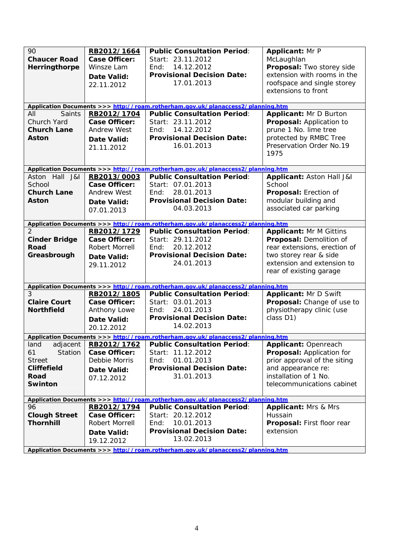| 90<br><b>Chaucer Road</b><br>Herringthorpe<br><b>Saints</b><br>All                          | RB2012/1664<br><b>Case Officer:</b><br>Winsze Lam<br><b>Date Valid:</b><br>22.11.2012<br>RB2012/1704 | <b>Public Consultation Period:</b><br>Start: 23.11.2012<br>14.12.2012<br>End:<br><b>Provisional Decision Date:</b><br>17.01.2013<br>Application Documents >>> http://roam.rotherham.gov.uk/planaccess2/planning.htm<br><b>Public Consultation Period:</b> | <b>Applicant: Mr P</b><br>McLaughlan<br>Proposal: Two storey side<br>extension with rooms in the<br>roofspace and single storey<br>extensions to front<br><b>Applicant: Mr D Burton</b> |
|---------------------------------------------------------------------------------------------|------------------------------------------------------------------------------------------------------|-----------------------------------------------------------------------------------------------------------------------------------------------------------------------------------------------------------------------------------------------------------|-----------------------------------------------------------------------------------------------------------------------------------------------------------------------------------------|
| Church Yard<br><b>Church Lane</b><br><b>Aston</b>                                           | <b>Case Officer:</b><br><b>Andrew West</b><br>Date Valid:<br>21.11.2012                              | Start: 23.11.2012<br>14.12.2012<br>End:<br><b>Provisional Decision Date:</b><br>16.01.2013                                                                                                                                                                | Proposal: Application to<br>prune 1 No. lime tree<br>protected by RMBC Tree<br>Preservation Order No.19<br>1975                                                                         |
| Aston Hall J&I<br>School<br><b>Church Lane</b><br>Aston                                     | RB2013/0003<br><b>Case Officer:</b><br><b>Andrew West</b><br><b>Date Valid:</b><br>07.01.2013        | Application Documents >>> http://roam.rotherham.gov.uk/planaccess2/planning.htm<br><b>Public Consultation Period:</b><br>Start: 07.01.2013<br>28.01.2013<br>End:<br><b>Provisional Decision Date:</b><br>04.03.2013                                       | Applicant: Aston Hall J&I<br>School<br>Proposal: Erection of<br>modular building and<br>associated car parking                                                                          |
| $\mathcal{P}$                                                                               | RB2012/1729                                                                                          | Application Documents >>> http://roam.rotherham.gov.uk/planaccess2/planning.htm<br><b>Public Consultation Period:</b>                                                                                                                                     | <b>Applicant: Mr M Gittins</b>                                                                                                                                                          |
| <b>Cinder Bridge</b><br><b>Road</b><br>Greasbrough                                          | <b>Case Officer:</b><br>Robert Morrell<br><b>Date Valid:</b><br>29.11.2012                           | Start: 29.11.2012<br>20.12.2012<br>End:<br><b>Provisional Decision Date:</b><br>24.01.2013                                                                                                                                                                | Proposal: Demolition of<br>rear extensions, erection of<br>two storey rear & side<br>extension and extension to<br>rear of existing garage                                              |
|                                                                                             |                                                                                                      | Application Documents >>> http://roam.rotherham.gov.uk/planaccess2/planning.htm                                                                                                                                                                           |                                                                                                                                                                                         |
| 3<br><b>Claire Court</b><br><b>Northfield</b>                                               | RB2012/1805<br><b>Case Officer:</b><br>Anthony Lowe<br><b>Date Valid:</b><br>20.12.2012              | <b>Public Consultation Period:</b><br>Start: 03.01.2013<br>24.01.2013<br>End:<br><b>Provisional Decision Date:</b><br>14.02.2013                                                                                                                          | Applicant: Mr D Swift<br>Proposal: Change of use to<br>physiotherapy clinic (use<br>class D1)                                                                                           |
|                                                                                             |                                                                                                      | Application Documents >>> http://roam.rotherham.gov.uk/planaccess2/planning.htm                                                                                                                                                                           |                                                                                                                                                                                         |
| land<br>adjacent<br>61<br>Station<br><b>Street</b><br><b>Cliffefield</b><br>Road<br>Swinton | RB2012/1762<br><b>Case Officer:</b><br>Debbie Morris<br>Date Valid:<br>07.12.2012                    | <b>Public Consultation Period:</b><br>Start: 11.12.2012<br>01.01.2013<br>End:<br><b>Provisional Decision Date:</b><br>31.01.2013                                                                                                                          | <b>Applicant: Openreach</b><br>Proposal: Application for<br>prior approval of the siting<br>and appearance re:<br>installation of 1 No.<br>telecommunications cabinet                   |
|                                                                                             |                                                                                                      | Application Documents >>> http://roam.rotherham.gov.uk/planaccess2/planning.htm                                                                                                                                                                           |                                                                                                                                                                                         |
| 96<br><b>Clough Street</b><br><b>Thornhill</b>                                              | RB2012/1794<br><b>Case Officer:</b><br>Robert Morrell<br>Date Valid:<br>19.12.2012                   | <b>Public Consultation Period:</b><br>Start: 20.12.2012<br>10.01.2013<br>End:<br><b>Provisional Decision Date:</b><br>13.02.2013                                                                                                                          | <b>Applicant: Mrs &amp; Mrs</b><br>Hussain<br>Proposal: First floor rear<br>extension                                                                                                   |
|                                                                                             |                                                                                                      | Application Documents >>> http://roam.rotherham.gov.uk/planaccess2/planning.htm                                                                                                                                                                           |                                                                                                                                                                                         |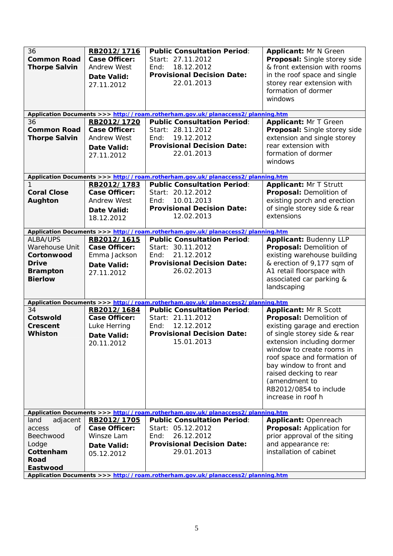| 36<br><b>Common Road</b><br><b>Thorpe Salvin</b>                                                     | RB2012/1716<br><b>Case Officer:</b><br><b>Andrew West</b><br>Date Valid:<br>27.11.2012 | <b>Public Consultation Period:</b><br>Start: 27.11.2012<br>18.12.2012<br>End:<br><b>Provisional Decision Date:</b><br>22.01.2013                                                                                    | <b>Applicant: Mr N Green</b><br>Proposal: Single storey side<br>& front extension with rooms<br>in the roof space and single<br>storey rear extension with<br>formation of dormer<br>windows                                                                                                                                            |
|------------------------------------------------------------------------------------------------------|----------------------------------------------------------------------------------------|---------------------------------------------------------------------------------------------------------------------------------------------------------------------------------------------------------------------|-----------------------------------------------------------------------------------------------------------------------------------------------------------------------------------------------------------------------------------------------------------------------------------------------------------------------------------------|
|                                                                                                      |                                                                                        | Application Documents >>> http://roam.rotherham.gov.uk/planaccess2/planning.htm                                                                                                                                     |                                                                                                                                                                                                                                                                                                                                         |
| 36<br><b>Common Road</b><br><b>Thorpe Salvin</b>                                                     | RB2012/1720<br><b>Case Officer:</b><br><b>Andrew West</b><br>Date Valid:<br>27.11.2012 | <b>Public Consultation Period:</b><br>Start: 28.11.2012<br>19.12.2012<br>End:<br><b>Provisional Decision Date:</b><br>22.01.2013                                                                                    | Applicant: Mr T Green<br>Proposal: Single storey side<br>extension and single storey<br>rear extension with<br>formation of dormer<br>windows                                                                                                                                                                                           |
|                                                                                                      |                                                                                        | Application Documents >>> http://roam.rotherham.gov.uk/planaccess2/planning.htm                                                                                                                                     |                                                                                                                                                                                                                                                                                                                                         |
| <b>Coral Close</b><br>Aughton                                                                        | RB2012/1783<br>Case Officer:<br><b>Andrew West</b><br>Date Valid:<br>18.12.2012        | <b>Public Consultation Period:</b><br>Start: 20.12.2012<br>10.01.2013<br>End:<br><b>Provisional Decision Date:</b><br>12.02.2013                                                                                    | Applicant: Mr T Strutt<br>Proposal: Demolition of<br>existing porch and erection<br>of single storey side & rear<br>extensions                                                                                                                                                                                                          |
|                                                                                                      |                                                                                        | Application Documents >>> http://roam.rotherham.gov.uk/planaccess2/planning.htm                                                                                                                                     |                                                                                                                                                                                                                                                                                                                                         |
| <b>ALBA/UPS</b><br>Warehouse Unit<br>Cortonwood<br><b>Drive</b><br><b>Brampton</b><br><b>Bierlow</b> | RB2012/1615<br><b>Case Officer:</b><br>Emma Jackson<br>Date Valid:<br>27.11.2012       | <b>Public Consultation Period:</b><br>Start: 30.11.2012<br>21.12.2012<br>End:<br><b>Provisional Decision Date:</b><br>26.02.2013                                                                                    | <b>Applicant: Budenny LLP</b><br>Proposal: Demolition of<br>existing warehouse building<br>& erection of 9,177 sqm of<br>A1 retail floorspace with<br>associated car parking &<br>landscaping                                                                                                                                           |
|                                                                                                      |                                                                                        | Application Documents >>> http://roam.rotherham.gov.uk/planaccess2/planning.htm                                                                                                                                     |                                                                                                                                                                                                                                                                                                                                         |
| 34<br>Cotswold<br>Crescent<br><b>Whiston</b>                                                         | RB2012/1684<br><b>Case Officer:</b><br>Luke Herring<br>Date Valid:<br>20.11.2012       | <b>Public Consultation Period:</b><br>Start: 21.11.2012<br>12.12.2012<br>End:<br><b>Provisional Decision Date:</b><br>15.01.2013                                                                                    | <b>Applicant: Mr R Scott</b><br>Proposal: Demolition of<br>existing garage and erection<br>of single storey side & rear<br>extension including dormer<br>window to create rooms in<br>roof space and formation of<br>bay window to front and<br>raised decking to rear<br>(amendment to<br>RB2012/0854 to include<br>increase in roof h |
|                                                                                                      |                                                                                        | Application Documents >>> http://roam.rotherham.gov.uk/planaccess2/planning.htm                                                                                                                                     |                                                                                                                                                                                                                                                                                                                                         |
| adjacent<br>land<br>0f<br>access<br>Beechwood<br>Lodge<br>Cottenham<br>Road<br>Eastwood              | RB2012/1705<br><b>Case Officer:</b><br>Winsze Lam<br>Date Valid:<br>05.12.2012         | <b>Public Consultation Period:</b><br>Start: 05.12.2012<br>26.12.2012<br>End:<br><b>Provisional Decision Date:</b><br>29.01.2013<br>Application Documents >>> http://roam.rotherham.gov.uk/planaccess2/planning.htm | Applicant: Openreach<br>Proposal: Application for<br>prior approval of the siting<br>and appearance re:<br>installation of cabinet                                                                                                                                                                                                      |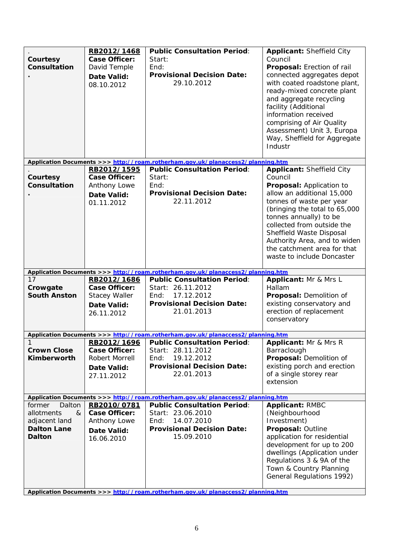| Courtesy<br>Consultation                                                             | RB2012/1468<br><b>Case Officer:</b><br>David Temple<br>Date Valid:<br>08.10.2012         | <b>Public Consultation Period:</b><br>Start:<br>End:<br><b>Provisional Decision Date:</b><br>29.10.2012                               | Applicant: Sheffield City<br>Council<br>Proposal: Erection of rail<br>connected aggregates depot<br>with coated roadstone plant,<br>ready-mixed concrete plant<br>and aggregate recycling<br>facility (Additional<br>information received<br>comprising of Air Quality<br>Assessment) Unit 3, Europa<br>Way, Sheffield for Aggregate<br>Industr |
|--------------------------------------------------------------------------------------|------------------------------------------------------------------------------------------|---------------------------------------------------------------------------------------------------------------------------------------|-------------------------------------------------------------------------------------------------------------------------------------------------------------------------------------------------------------------------------------------------------------------------------------------------------------------------------------------------|
|                                                                                      |                                                                                          | Application Documents >>> http://roam.rotherham.gov.uk/planaccess2/planning.htm                                                       |                                                                                                                                                                                                                                                                                                                                                 |
| Courtesy<br>Consultation                                                             | RB2012/1595<br><b>Case Officer:</b><br>Anthony Lowe<br>Date Valid:<br>01.11.2012         | <b>Public Consultation Period:</b><br>Start:<br>End:<br><b>Provisional Decision Date:</b><br>22.11.2012                               | Applicant: Sheffield City<br>Council<br>Proposal: Application to<br>allow an additional 15,000<br>tonnes of waste per year<br>(bringing the total to 65,000<br>tonnes annually) to be<br>collected from outside the<br>Sheffield Waste Disposal<br>Authority Area, and to widen<br>the catchment area for that<br>waste to include Doncaster    |
|                                                                                      |                                                                                          | Application Documents >>> http://roam.rotherham.gov.uk/planaccess2/planning.htm                                                       |                                                                                                                                                                                                                                                                                                                                                 |
| 17<br>Crowgate<br><b>South Anston</b>                                                | RB2012/1686<br><b>Case Officer:</b><br><b>Stacey Waller</b><br>Date Valid:<br>26.11.2012 | <b>Public Consultation Period:</b><br>Start: 26.11.2012<br>17.12.2012<br>End:<br><b>Provisional Decision Date:</b><br>21.01.2013      | Applicant: Mr & Mrs L<br>Hallam<br>Proposal: Demolition of<br>existing conservatory and<br>erection of replacement<br>conservatory                                                                                                                                                                                                              |
|                                                                                      |                                                                                          | Application Documents >>> http://roam.rotherham.gov.uk/planaccess2/planning.htm                                                       |                                                                                                                                                                                                                                                                                                                                                 |
| <b>Crown Close</b><br>Kimberworth                                                    | Case Officer:<br>Robert Morrell<br>Date Valid:<br>27.11.2012                             | RB2012/1696 Public Consultation Period:<br>Start: 28.11.2012<br>19.12.2012<br>End:<br><b>Provisional Decision Date:</b><br>22.01.2013 | <b>Applicant:</b> Mr & Mrs R<br>Barraclough<br>Proposal: Demolition of<br>existing porch and erection<br>of a single storey rear<br>extension                                                                                                                                                                                                   |
|                                                                                      |                                                                                          | Application Documents >>> http://roam.rotherham.gov.uk/planaccess2/planning.htm                                                       |                                                                                                                                                                                                                                                                                                                                                 |
| former<br>Dalton<br>allotments<br>&<br>adjacent land<br><b>Dalton Lane</b><br>Dalton | RB2010/0781<br><b>Case Officer:</b><br>Anthony Lowe<br>Date Valid:<br>16.06.2010         | <b>Public Consultation Period:</b><br>Start: 23.06.2010<br>14.07.2010<br>End:<br><b>Provisional Decision Date:</b><br>15.09.2010      | <b>Applicant: RMBC</b><br>(Neighbourhood<br>Investment)<br>Proposal: Outline<br>application for residential<br>development for up to 200                                                                                                                                                                                                        |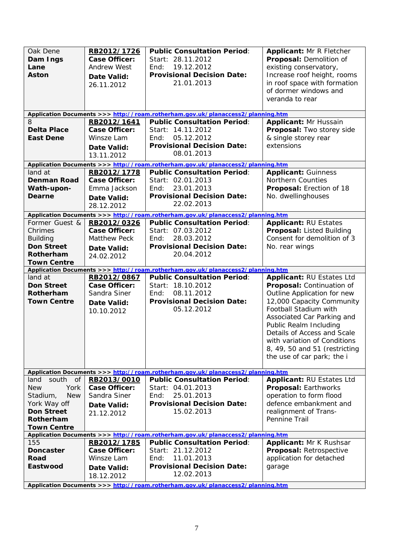| Oak Dene<br>Dam Ings<br>Lane<br><b>Aston</b> | RB2012/1726<br><b>Case Officer:</b><br><b>Andrew West</b><br>Date Valid:<br>26.11.2012 | <b>Public Consultation Period:</b><br>Start: 28.11.2012<br>19.12.2012<br>End:<br><b>Provisional Decision Date:</b><br>21.01.2013 | <b>Applicant: Mr R Fletcher</b><br>Proposal: Demolition of<br>existing conservatory,<br>Increase roof height, rooms<br>in roof space with formation<br>of dormer windows and<br>veranda to rear |
|----------------------------------------------|----------------------------------------------------------------------------------------|----------------------------------------------------------------------------------------------------------------------------------|-------------------------------------------------------------------------------------------------------------------------------------------------------------------------------------------------|
|                                              | RB2012/1641                                                                            | Application Documents >>> http://roam.rotherham.gov.uk/planaccess2/planning.htm<br><b>Public Consultation Period:</b>            | <b>Applicant: Mr Hussain</b>                                                                                                                                                                    |
| <b>Delta Place</b>                           | <b>Case Officer:</b>                                                                   | Start: 14.11.2012                                                                                                                | Proposal: Two storey side                                                                                                                                                                       |
| <b>East Dene</b>                             | Winsze Lam                                                                             | 05.12.2012<br>End:                                                                                                               | & single storey rear                                                                                                                                                                            |
|                                              | Date Valid:                                                                            | <b>Provisional Decision Date:</b>                                                                                                | extensions                                                                                                                                                                                      |
|                                              | 13.11.2012                                                                             | 08.01.2013                                                                                                                       |                                                                                                                                                                                                 |
|                                              |                                                                                        | Application Documents >>> http://roam.rotherham.gov.uk/planaccess2/planning.htm                                                  |                                                                                                                                                                                                 |
| land at                                      | RB2012/1778                                                                            | <b>Public Consultation Period:</b>                                                                                               | <b>Applicant: Guinness</b>                                                                                                                                                                      |
| <b>Denman Road</b>                           | <b>Case Officer:</b>                                                                   | Start: 02.01.2013                                                                                                                | <b>Northern Counties</b>                                                                                                                                                                        |
| Wath-upon-                                   | Emma Jackson                                                                           | 23.01.2013<br>End:                                                                                                               | Proposal: Erection of 18                                                                                                                                                                        |
| Dearne                                       | <b>Date Valid:</b>                                                                     | <b>Provisional Decision Date:</b><br>22.02.2013                                                                                  | No. dwellinghouses                                                                                                                                                                              |
|                                              | 28.12.2012                                                                             |                                                                                                                                  |                                                                                                                                                                                                 |
| Former Guest &                               | RB2012/0326                                                                            | Application Documents >>> http://roam.rotherham.gov.uk/planaccess2/planning.htm<br><b>Public Consultation Period:</b>            | <b>Applicant: RU Estates</b>                                                                                                                                                                    |
| Chrimes                                      | <b>Case Officer:</b>                                                                   | Start: 07.03.2012                                                                                                                | Proposal: Listed Building                                                                                                                                                                       |
| <b>Building</b>                              | <b>Matthew Peck</b>                                                                    | 28.03.2012<br>End:                                                                                                               | Consent for demolition of 3                                                                                                                                                                     |
| <b>Don Street</b>                            | Date Valid:                                                                            | <b>Provisional Decision Date:</b>                                                                                                | No. rear wings                                                                                                                                                                                  |
| Rotherham                                    | 24.02.2012                                                                             | 20.04.2012                                                                                                                       |                                                                                                                                                                                                 |
| <b>Town Centre</b>                           |                                                                                        |                                                                                                                                  |                                                                                                                                                                                                 |
|                                              |                                                                                        | Application Documents >>> http://roam.rotherham.gov.uk/planaccess2/planning.htm                                                  |                                                                                                                                                                                                 |
|                                              |                                                                                        |                                                                                                                                  |                                                                                                                                                                                                 |
| land at                                      | RB2012/0867                                                                            | <b>Public Consultation Period:</b>                                                                                               | Applicant: RU Estates Ltd                                                                                                                                                                       |
| <b>Don Street</b>                            | <b>Case Officer:</b>                                                                   | Start: 18.10.2012                                                                                                                | Proposal: Continuation of                                                                                                                                                                       |
| Rotherham                                    | Sandra Siner                                                                           | 08.11.2012<br>End:                                                                                                               | Outline Application for new                                                                                                                                                                     |
| <b>Town Centre</b>                           | Date Valid:                                                                            | <b>Provisional Decision Date:</b><br>05.12.2012                                                                                  | 12,000 Capacity Community<br>Football Stadium with                                                                                                                                              |
|                                              | 10.10.2012                                                                             |                                                                                                                                  | Associated Car Parking and                                                                                                                                                                      |
|                                              |                                                                                        |                                                                                                                                  | Public Realm Including                                                                                                                                                                          |
|                                              |                                                                                        |                                                                                                                                  | Details of Access and Scale                                                                                                                                                                     |
|                                              |                                                                                        |                                                                                                                                  | with variation of Conditions                                                                                                                                                                    |
|                                              |                                                                                        |                                                                                                                                  | 8, 49, 50 and 51 (restricting                                                                                                                                                                   |
|                                              |                                                                                        |                                                                                                                                  | the use of car park; the i                                                                                                                                                                      |
|                                              |                                                                                        | Application Documents >>> http://roam.rotherham.gov.uk/planaccess2/planning.htm                                                  |                                                                                                                                                                                                 |
| south<br>land<br><b>of</b>                   | RB2013/0010                                                                            | <b>Public Consultation Period:</b>                                                                                               | Applicant: RU Estates Ltd                                                                                                                                                                       |
| <b>New</b><br>York                           | <b>Case Officer:</b>                                                                   | Start: 04.01.2013                                                                                                                | Proposal: Earthworks                                                                                                                                                                            |
| <b>New</b><br>Stadium,                       | Sandra Siner                                                                           | 25.01.2013<br>End:                                                                                                               | operation to form flood                                                                                                                                                                         |
| York Way off                                 | Date Valid:                                                                            | <b>Provisional Decision Date:</b>                                                                                                | defence embankment and                                                                                                                                                                          |
| <b>Don Street</b>                            | 21.12.2012                                                                             | 15.02.2013                                                                                                                       | realignment of Trans-                                                                                                                                                                           |
| Rotherham                                    |                                                                                        |                                                                                                                                  | Pennine Trail                                                                                                                                                                                   |
| <b>Town Centre</b>                           |                                                                                        | Application Documents >>> http://roam.rotherham.gov.uk/planaccess2/planning.htm                                                  |                                                                                                                                                                                                 |
| 155                                          | RB2012/1785                                                                            | <b>Public Consultation Period:</b>                                                                                               | <b>Applicant: Mr K Rushsar</b>                                                                                                                                                                  |
| <b>Doncaster</b>                             | Case Officer:                                                                          | Start: 21.12.2012                                                                                                                | Proposal: Retrospective                                                                                                                                                                         |
| Road                                         | Winsze Lam                                                                             | 11.01.2013<br>End:                                                                                                               | application for detached                                                                                                                                                                        |
| Eastwood                                     | Date Valid:                                                                            | <b>Provisional Decision Date:</b>                                                                                                | garage                                                                                                                                                                                          |
|                                              | 18.12.2012                                                                             | 12.02.2013<br>Application Documents >>> http://roam.rotherham.gov.uk/planaccess2/planning.htm                                    |                                                                                                                                                                                                 |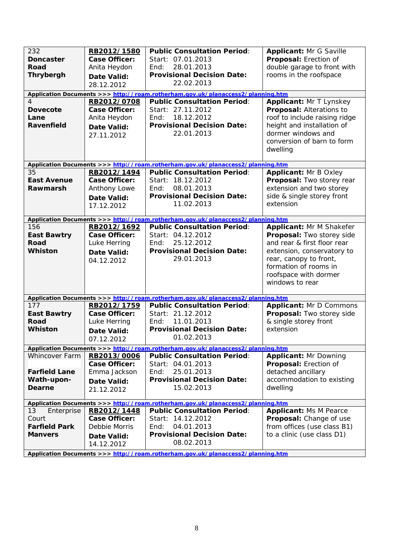| 232<br><b>Doncaster</b><br>Road<br><b>Thrybergh</b><br>4<br><b>Dovecote</b><br>Lane<br>Ravenfield | RB2012/1580<br><b>Case Officer:</b><br>Anita Heydon<br><b>Date Valid:</b><br>28.12.2012<br>RB2012/0708<br><b>Case Officer:</b><br>Anita Heydon<br><b>Date Valid:</b><br>27.11.2012 | <b>Public Consultation Period:</b><br>Start: 07.01.2013<br>28.01.2013<br>End:<br><b>Provisional Decision Date:</b><br>22.02.2013<br>Application Documents >>> http://roam.rotherham.gov.uk/planaccess2/planning.htm<br><b>Public Consultation Period:</b><br>Start: 27.11.2012<br>Find:<br>18.12.2012<br><b>Provisional Decision Date:</b><br>22.01.2013 | <b>Applicant: Mr G Saville</b><br>Proposal: Erection of<br>double garage to front with<br>rooms in the roofspace<br>Applicant: Mr T Lynskey<br>Proposal: Alterations to<br>roof to include raising ridge<br>height and installation of<br>dormer windows and<br>conversion of barn to form<br>dwelling |
|---------------------------------------------------------------------------------------------------|------------------------------------------------------------------------------------------------------------------------------------------------------------------------------------|----------------------------------------------------------------------------------------------------------------------------------------------------------------------------------------------------------------------------------------------------------------------------------------------------------------------------------------------------------|--------------------------------------------------------------------------------------------------------------------------------------------------------------------------------------------------------------------------------------------------------------------------------------------------------|
|                                                                                                   |                                                                                                                                                                                    | Application Documents >>> http://roam.rotherham.gov.uk/planaccess2/planning.htm                                                                                                                                                                                                                                                                          |                                                                                                                                                                                                                                                                                                        |
| 35<br><b>East Avenue</b><br>Rawmarsh                                                              | RB2012/1494<br><b>Case Officer:</b><br>Anthony Lowe<br><b>Date Valid:</b><br>17.12.2012                                                                                            | <b>Public Consultation Period:</b><br>Start: 18.12.2012<br>08.01.2013<br>End:<br><b>Provisional Decision Date:</b><br>11.02.2013                                                                                                                                                                                                                         | <b>Applicant: Mr B Oxley</b><br>Proposal: Two storey rear<br>extension and two storey<br>side & single storey front<br>extension                                                                                                                                                                       |
|                                                                                                   |                                                                                                                                                                                    | Application Documents >>> http://roam.rotherham.gov.uk/planaccess2/planning.htm                                                                                                                                                                                                                                                                          |                                                                                                                                                                                                                                                                                                        |
| 156<br><b>East Bawtry</b><br>Road<br><b>Whiston</b>                                               | RB2012/1692<br><b>Case Officer:</b><br>Luke Herring<br><b>Date Valid:</b><br>04.12.2012                                                                                            | <b>Public Consultation Period:</b><br>Start: 04.12.2012<br>25.12.2012<br>End:<br><b>Provisional Decision Date:</b><br>29.01.2013                                                                                                                                                                                                                         | Applicant: Mr M Shakefer<br>Proposal: Two storey side<br>and rear & first floor rear<br>extension, conservatory to<br>rear, canopy to front,<br>formation of rooms in<br>roofspace with dormer<br>windows to rear                                                                                      |
|                                                                                                   |                                                                                                                                                                                    | Application Documents >>> http://roam.rotherham.gov.uk/planaccess2/planning.htm                                                                                                                                                                                                                                                                          |                                                                                                                                                                                                                                                                                                        |
| 177<br><b>East Bawtry</b><br>Road<br>Whiston                                                      | RB2012/1759<br><b>Case Officer:</b><br>Luke Herring<br><b>Date Valid:</b><br>07.12.2012                                                                                            | <b>Public Consultation Period:</b><br>Start: 21.12.2012<br>11.01.2013<br>End:<br><b>Provisional Decision Date:</b><br>01.02.2013                                                                                                                                                                                                                         | <b>Applicant: Mr D Commons</b><br>Proposal: Two storey side<br>& single storey front<br>extension                                                                                                                                                                                                      |
|                                                                                                   |                                                                                                                                                                                    | Application Documents >>> http://roam.rotherham.gov.uk/planaccess2/planning.htm                                                                                                                                                                                                                                                                          |                                                                                                                                                                                                                                                                                                        |
| Whincover Farm<br><b>Farfield Lane</b><br>Wath-upon-<br>Dearne                                    | RB2013/0006<br><b>Case Officer:</b><br>Emma Jackson<br>Date Valid:<br>21.12.2012                                                                                                   | <b>Public Consultation Period:</b><br>Start: 04.01.2013<br>25.01.2013<br>End:<br><b>Provisional Decision Date:</b><br>15.02.2013                                                                                                                                                                                                                         | <b>Applicant: Mr Downing</b><br>Proposal: Erection of<br>detached ancillary<br>accommodation to existing<br>dwelling                                                                                                                                                                                   |
|                                                                                                   |                                                                                                                                                                                    | Application Documents >>> http://roam.rotherham.gov.uk/planaccess2/planning.htm                                                                                                                                                                                                                                                                          |                                                                                                                                                                                                                                                                                                        |
| Enterprise<br>13<br>Court<br><b>Farfield Park</b><br><b>Manvers</b>                               | RB2012/1448<br><b>Case Officer:</b><br>Debbie Morris<br>Date Valid:<br>14.12.2012                                                                                                  | <b>Public Consultation Period:</b><br>Start: 14.12.2012<br>04.01.2013<br>End:<br><b>Provisional Decision Date:</b><br>08.02.2013<br>Application Documents >>> http://roam.rotherham.gov.uk/planaccess2/planning.htm                                                                                                                                      | <b>Applicant: Ms M Pearce</b><br>Proposal: Change of use<br>from offices (use class B1)<br>to a clinic (use class D1)                                                                                                                                                                                  |

8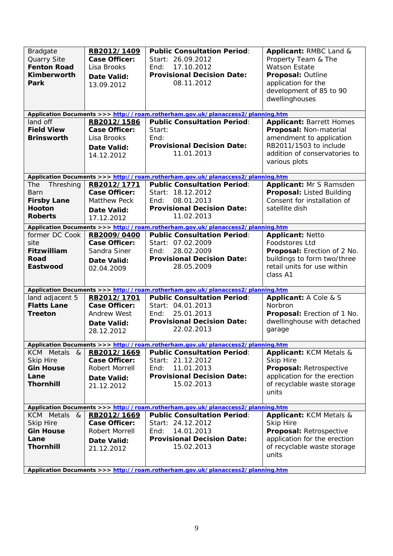| <b>Bradgate</b><br>Quarry Site<br><b>Fenton Road</b><br><b>Kimberworth</b><br>Park | RB2012/1409<br><b>Case Officer:</b><br>Lisa Brooks<br><b>Date Valid:</b><br>13.09.2012 | <b>Public Consultation Period:</b><br>Start: 26.09.2012<br>17.10.2012<br>End:<br><b>Provisional Decision Date:</b><br>08.11.2012<br>Application Documents >>> http://roam.rotherham.gov.uk/planaccess2/planning.htm | Applicant: RMBC Land &<br>Property Team & The<br><b>Watson Estate</b><br>Proposal: Outline<br>application for the<br>development of 85 to 90<br>dwellinghouses |
|------------------------------------------------------------------------------------|----------------------------------------------------------------------------------------|---------------------------------------------------------------------------------------------------------------------------------------------------------------------------------------------------------------------|----------------------------------------------------------------------------------------------------------------------------------------------------------------|
| land off                                                                           | RB2012/1586                                                                            | <b>Public Consultation Period:</b>                                                                                                                                                                                  | <b>Applicant: Barrett Homes</b>                                                                                                                                |
| <b>Field View</b>                                                                  | <b>Case Officer:</b>                                                                   | Start:                                                                                                                                                                                                              | Proposal: Non-material                                                                                                                                         |
| <b>Brinsworth</b>                                                                  | Lisa Brooks                                                                            | End:                                                                                                                                                                                                                | amendment to application                                                                                                                                       |
|                                                                                    | Date Valid:                                                                            | <b>Provisional Decision Date:</b>                                                                                                                                                                                   | RB2011/1503 to include                                                                                                                                         |
|                                                                                    | 14.12.2012                                                                             | 11.01.2013                                                                                                                                                                                                          | addition of conservatories to                                                                                                                                  |
|                                                                                    |                                                                                        |                                                                                                                                                                                                                     | various plots                                                                                                                                                  |
|                                                                                    |                                                                                        |                                                                                                                                                                                                                     |                                                                                                                                                                |
| The<br>Threshing                                                                   | RB2012/1771                                                                            | Application Documents >>> http://roam.rotherham.gov.uk/planaccess2/planning.htm<br><b>Public Consultation Period:</b>                                                                                               | Applicant: Mr S Ramsden                                                                                                                                        |
| Barn                                                                               | <b>Case Officer:</b>                                                                   | Start: 18.12.2012                                                                                                                                                                                                   | <b>Proposal: Listed Building</b>                                                                                                                               |
| <b>Firsby Lane</b>                                                                 | Matthew Peck                                                                           | 08.01.2013<br>End:                                                                                                                                                                                                  | Consent for installation of                                                                                                                                    |
| <b>Hooton</b>                                                                      | Date Valid:                                                                            | <b>Provisional Decision Date:</b>                                                                                                                                                                                   | satellite dish                                                                                                                                                 |
| <b>Roberts</b>                                                                     | 17.12.2012                                                                             | 11.02.2013                                                                                                                                                                                                          |                                                                                                                                                                |
|                                                                                    |                                                                                        | Application Documents >>> http://roam.rotherham.gov.uk/planaccess2/planning.htm                                                                                                                                     |                                                                                                                                                                |
| former DC Cook                                                                     | RB2009/0400                                                                            | <b>Public Consultation Period:</b>                                                                                                                                                                                  | <b>Applicant: Netto</b>                                                                                                                                        |
| site                                                                               | <b>Case Officer:</b>                                                                   | Start: 07.02.2009                                                                                                                                                                                                   | <b>Foodstores Ltd</b>                                                                                                                                          |
| Fitzwilliam                                                                        | Sandra Siner                                                                           | 28.02.2009<br>End:                                                                                                                                                                                                  | Proposal: Erection of 2 No.                                                                                                                                    |
| Road                                                                               | <b>Date Valid:</b>                                                                     | <b>Provisional Decision Date:</b>                                                                                                                                                                                   | buildings to form two/three                                                                                                                                    |
| Eastwood                                                                           | 02.04.2009                                                                             | 28.05.2009                                                                                                                                                                                                          | retail units for use within                                                                                                                                    |
|                                                                                    |                                                                                        |                                                                                                                                                                                                                     | class A1                                                                                                                                                       |
|                                                                                    |                                                                                        | Application Documents >>> http://roam.rotherham.gov.uk/planaccess2/planning.htm                                                                                                                                     |                                                                                                                                                                |
| land adjacent 5                                                                    | RB2012/1701                                                                            | <b>Public Consultation Period:</b>                                                                                                                                                                                  | Applicant: A Cole & S                                                                                                                                          |
| <b>Flatts Lane</b>                                                                 | <b>Case Officer:</b>                                                                   | Start: 04.01.2013                                                                                                                                                                                                   | Norbron                                                                                                                                                        |
| <b>Treeton</b>                                                                     | Andrew West                                                                            | 25.01.2013<br>End:                                                                                                                                                                                                  | Proposal: Erection of 1 No.                                                                                                                                    |
|                                                                                    | Date Valid:                                                                            | <b>Provisional Decision Date:</b>                                                                                                                                                                                   | dwellinghouse with detached                                                                                                                                    |
|                                                                                    | 28.12.2012                                                                             | 22.02.2013                                                                                                                                                                                                          | garage                                                                                                                                                         |
|                                                                                    |                                                                                        |                                                                                                                                                                                                                     |                                                                                                                                                                |
| <b>KCM</b> Metals                                                                  |                                                                                        | Application Documents >>> http://roam.rotherham.gov.uk/planaccess2/planning.htm                                                                                                                                     |                                                                                                                                                                |
| 8 <sup>0</sup><br><b>Skip Hire</b>                                                 | RB2012/1669<br><b>Case Officer:</b>                                                    | <b>Public Consultation Period:</b><br>Start: 21.12.2012                                                                                                                                                             | <b>Applicant: KCM Metals &amp;</b><br><b>Skip Hire</b>                                                                                                         |
| <b>Gin House</b>                                                                   | Robert Morrell                                                                         | 11.01.2013<br>End:                                                                                                                                                                                                  | Proposal: Retrospective                                                                                                                                        |
| Lane                                                                               | Date Valid:                                                                            | <b>Provisional Decision Date:</b>                                                                                                                                                                                   | application for the erection                                                                                                                                   |
| <b>Thornhill</b>                                                                   | 21.12.2012                                                                             | 15.02.2013                                                                                                                                                                                                          | of recyclable waste storage                                                                                                                                    |
|                                                                                    |                                                                                        |                                                                                                                                                                                                                     | units                                                                                                                                                          |
|                                                                                    |                                                                                        |                                                                                                                                                                                                                     |                                                                                                                                                                |
|                                                                                    |                                                                                        | Application Documents >>> http://roam.rotherham.gov.uk/planaccess2/planning.htm                                                                                                                                     |                                                                                                                                                                |
| <b>KCM</b> Metals<br>&                                                             | RB2012/1669                                                                            | <b>Public Consultation Period:</b><br>Start: 24.12.2012                                                                                                                                                             | Applicant: KCM Metals &                                                                                                                                        |
| <b>Skip Hire</b><br><b>Gin House</b>                                               | Case Officer:<br>Robert Morrell                                                        | 14.01.2013<br>End:                                                                                                                                                                                                  | <b>Skip Hire</b>                                                                                                                                               |
| Lane                                                                               |                                                                                        | <b>Provisional Decision Date:</b>                                                                                                                                                                                   | Proposal: Retrospective<br>application for the erection                                                                                                        |
| <b>Thornhill</b>                                                                   | Date Valid:                                                                            | 15.02.2013                                                                                                                                                                                                          | of recyclable waste storage                                                                                                                                    |
|                                                                                    | 21.12.2012                                                                             |                                                                                                                                                                                                                     | units                                                                                                                                                          |
|                                                                                    |                                                                                        |                                                                                                                                                                                                                     |                                                                                                                                                                |
|                                                                                    |                                                                                        | Application Documents >>> http://roam.rotherham.gov.uk/planaceese3/planning.htm                                                                                                                                     |                                                                                                                                                                |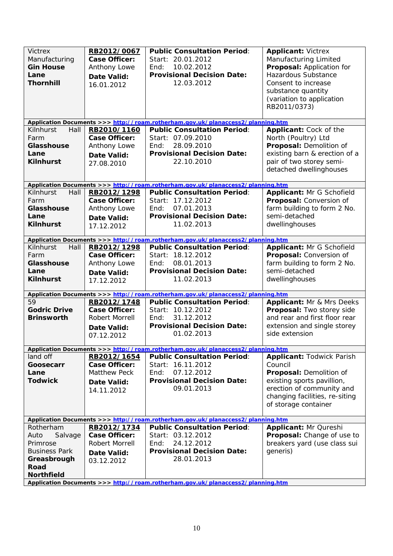| <b>Victrex</b><br>Manufacturing<br><b>Gin House</b><br>Lane<br><b>Thornhill</b> | RB2012/0067<br><b>Case Officer:</b><br>Anthony Lowe<br>Date Valid:<br>16.01.2012 | <b>Public Consultation Period:</b><br>Start: 20.01.2012<br>10.02.2012<br>End:<br><b>Provisional Decision Date:</b><br>12.03.2012 | <b>Applicant: Victrex</b><br>Manufacturing Limited<br>Proposal: Application for<br><b>Hazardous Substance</b><br>Consent to increase<br>substance quantity<br>(variation to application<br>RB2011/0373) |
|---------------------------------------------------------------------------------|----------------------------------------------------------------------------------|----------------------------------------------------------------------------------------------------------------------------------|---------------------------------------------------------------------------------------------------------------------------------------------------------------------------------------------------------|
|                                                                                 |                                                                                  | Application Documents >>> http://roam.rotherham.gov.uk/planaccess2/planning.htm                                                  |                                                                                                                                                                                                         |
| Kilnhurst<br>Hall                                                               | RB2010/1160                                                                      | <b>Public Consultation Period:</b>                                                                                               | Applicant: Cock of the                                                                                                                                                                                  |
| Farm                                                                            | <b>Case Officer:</b>                                                             | Start: 07.09.2010                                                                                                                | North (Poultry) Ltd                                                                                                                                                                                     |
| <b>Glasshouse</b>                                                               | Anthony Lowe                                                                     | End:<br>28.09.2010                                                                                                               | Proposal: Demolition of                                                                                                                                                                                 |
| Lane                                                                            | Date Valid:                                                                      | <b>Provisional Decision Date:</b>                                                                                                | existing barn & erection of a                                                                                                                                                                           |
| <b>Kilnhurst</b>                                                                | 27.08.2010                                                                       | 22.10.2010                                                                                                                       | pair of two storey semi-                                                                                                                                                                                |
|                                                                                 |                                                                                  |                                                                                                                                  | detached dwellinghouses                                                                                                                                                                                 |
|                                                                                 |                                                                                  | Application Documents >>> http://roam.rotherham.gov.uk/planaccess2/planning.htm                                                  |                                                                                                                                                                                                         |
| Kilnhurst<br>Hall                                                               | RB2012/1298                                                                      | <b>Public Consultation Period:</b>                                                                                               | Applicant: Mr G Schofield                                                                                                                                                                               |
| Farm                                                                            | <b>Case Officer:</b>                                                             | Start: 17.12.2012                                                                                                                | Proposal: Conversion of                                                                                                                                                                                 |
| <b>Glasshouse</b>                                                               | Anthony Lowe                                                                     | 07.01.2013<br>End:                                                                                                               | farm building to form 2 No.                                                                                                                                                                             |
| Lane                                                                            | Date Valid:                                                                      | <b>Provisional Decision Date:</b>                                                                                                | semi-detached                                                                                                                                                                                           |
| <b>Kilnhurst</b>                                                                | 17.12.2012                                                                       | 11.02.2013                                                                                                                       | dwellinghouses                                                                                                                                                                                          |
|                                                                                 |                                                                                  |                                                                                                                                  |                                                                                                                                                                                                         |
|                                                                                 |                                                                                  | Application Documents >>> http://roam.rotherham.gov.uk/planaccess2/planning.htm                                                  |                                                                                                                                                                                                         |
| Kilnhurst<br>Hall                                                               | RB2012/1298                                                                      | <b>Public Consultation Period:</b>                                                                                               | Applicant: Mr G Schofield                                                                                                                                                                               |
| Farm                                                                            | <b>Case Officer:</b>                                                             | Start: 18.12.2012                                                                                                                | Proposal: Conversion of                                                                                                                                                                                 |
| Glasshouse                                                                      | Anthony Lowe                                                                     | 08.01.2013<br>End:                                                                                                               | farm building to form 2 No.                                                                                                                                                                             |
| Lane                                                                            | <b>Date Valid:</b>                                                               | <b>Provisional Decision Date:</b>                                                                                                | semi-detached                                                                                                                                                                                           |
| <b>Kilnhurst</b>                                                                | 17.12.2012                                                                       | 11.02.2013                                                                                                                       | dwellinghouses                                                                                                                                                                                          |
|                                                                                 |                                                                                  | Application Documents >>> http://roam.rotherham.gov.uk/planaccess2/planning.htm                                                  |                                                                                                                                                                                                         |
| 59                                                                              | RB2012/1748                                                                      | <b>Public Consultation Period:</b>                                                                                               | Applicant: Mr & Mrs Deeks                                                                                                                                                                               |
| <b>Godric Drive</b>                                                             | <b>Case Officer:</b>                                                             | Start: 10.12.2012                                                                                                                | Proposal: Two storey side                                                                                                                                                                               |
| <b>Brinsworth</b>                                                               | <b>Robert Morrell</b>                                                            | 31.12.2012<br>End:                                                                                                               | and rear and first floor rear                                                                                                                                                                           |
|                                                                                 |                                                                                  | <b>Provisional Decision Date:</b>                                                                                                | extension and single storey                                                                                                                                                                             |
|                                                                                 | Date Valid:                                                                      | 01.02.2013                                                                                                                       | side extension                                                                                                                                                                                          |
|                                                                                 | 07.12.2012                                                                       |                                                                                                                                  |                                                                                                                                                                                                         |
|                                                                                 |                                                                                  | Application Documents >>> http://roam.rotherham.gov.uk/planaccess2/planning.htm                                                  |                                                                                                                                                                                                         |
| land off                                                                        | RB2012/1654                                                                      | <b>Public Consultation Period:</b>                                                                                               | <b>Applicant: Todwick Parish</b>                                                                                                                                                                        |
| Goosecarr                                                                       | Case Officer:                                                                    | Start: 16.11.2012                                                                                                                | Council                                                                                                                                                                                                 |
| Lane                                                                            | <b>Matthew Peck</b>                                                              | 07.12.2012<br>End:                                                                                                               | Proposal: Demolition of                                                                                                                                                                                 |
| <b>Todwick</b>                                                                  | Date Valid:                                                                      | <b>Provisional Decision Date:</b>                                                                                                | existing sports pavillion,                                                                                                                                                                              |
|                                                                                 | 14.11.2012                                                                       | 09.01.2013                                                                                                                       | erection of community and                                                                                                                                                                               |
|                                                                                 |                                                                                  |                                                                                                                                  | changing facilities, re-siting                                                                                                                                                                          |
|                                                                                 |                                                                                  |                                                                                                                                  | of storage container                                                                                                                                                                                    |
|                                                                                 |                                                                                  | Application Documents >>> http://roam.rotherham.gov.uk/planaccess2/planning.htm                                                  |                                                                                                                                                                                                         |
| Rotherham                                                                       | RB2012/1734                                                                      | <b>Public Consultation Period:</b>                                                                                               | Applicant: Mr Qureshi                                                                                                                                                                                   |
| Auto<br>Salvage                                                                 | <b>Case Officer:</b>                                                             | Start: 03.12.2012                                                                                                                | Proposal: Change of use to                                                                                                                                                                              |
| Primrose                                                                        | Robert Morrell                                                                   | 24.12.2012<br>End:                                                                                                               | breakers yard (use class sui                                                                                                                                                                            |
| <b>Business Park</b>                                                            | Date Valid:                                                                      | <b>Provisional Decision Date:</b>                                                                                                | generis)                                                                                                                                                                                                |
| Greasbrough                                                                     | 03.12.2012                                                                       | 28.01.2013                                                                                                                       |                                                                                                                                                                                                         |
| Road                                                                            |                                                                                  |                                                                                                                                  |                                                                                                                                                                                                         |
| <b>Northfield</b>                                                               |                                                                                  |                                                                                                                                  |                                                                                                                                                                                                         |
|                                                                                 |                                                                                  | Application Documents >>> http://roam.rotherham.gov.uk/planaccess2/planning.htm                                                  |                                                                                                                                                                                                         |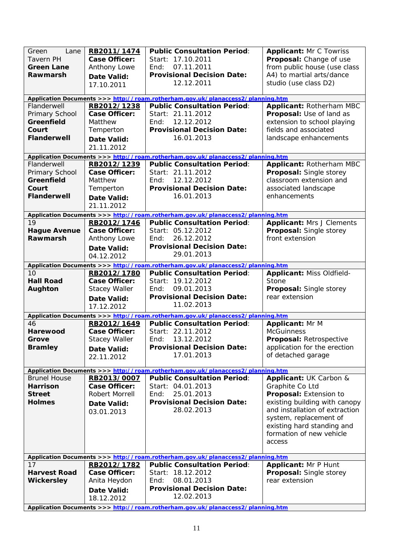| Green<br>Lane<br><b>Tavern PH</b><br><b>Green Lane</b><br>Rawmarsh<br>Flanderwell<br>Primary School<br>Greenfield | RB2011/1474<br><b>Case Officer:</b><br>Anthony Lowe<br><b>Date Valid:</b><br>17.10.2011<br>RB2012/1238<br><b>Case Officer:</b><br>Matthew | <b>Public Consultation Period:</b><br>Start: 17.10.2011<br>07.11.2011<br>End:<br><b>Provisional Decision Date:</b><br>12.12.2011<br>Application Documents >>> http://roam.rotherham.gov.uk/planaccess2/planning.htm<br><b>Public Consultation Period:</b><br>Start: 21.11.2012<br>12.12.2012<br>End: | <b>Applicant: Mr C Towriss</b><br>Proposal: Change of use<br>from public house (use class<br>A4) to martial arts/dance<br>studio (use class D2)<br>Applicant: Rotherham MBC<br>Proposal: Use of land as<br>extension to school playing |
|-------------------------------------------------------------------------------------------------------------------|-------------------------------------------------------------------------------------------------------------------------------------------|------------------------------------------------------------------------------------------------------------------------------------------------------------------------------------------------------------------------------------------------------------------------------------------------------|----------------------------------------------------------------------------------------------------------------------------------------------------------------------------------------------------------------------------------------|
| Court<br><b>Flanderwell</b>                                                                                       | Temperton<br>Date Valid:<br>21.11.2012                                                                                                    | <b>Provisional Decision Date:</b><br>16.01.2013                                                                                                                                                                                                                                                      | fields and associated<br>landscape enhancements                                                                                                                                                                                        |
|                                                                                                                   |                                                                                                                                           | Application Documents >>> http://roam.rotherham.gov.uk/planaccess2/planning.htm                                                                                                                                                                                                                      |                                                                                                                                                                                                                                        |
| Flanderwell<br>Primary School<br>Greenfield<br>Court<br><b>Flanderwell</b>                                        | RB2012/1239<br><b>Case Officer:</b><br>Matthew<br>Temperton<br><b>Date Valid:</b><br>21.11.2012                                           | <b>Public Consultation Period:</b><br>Start: 21.11.2012<br>12.12.2012<br>End:<br><b>Provisional Decision Date:</b><br>16.01.2013                                                                                                                                                                     | Applicant: Rotherham MBC<br>Proposal: Single storey<br>classroom extension and<br>associated landscape<br>enhancements                                                                                                                 |
|                                                                                                                   |                                                                                                                                           | Application Documents >>> http://roam.rotherham.gov.uk/planaccess2/planning.htm                                                                                                                                                                                                                      |                                                                                                                                                                                                                                        |
| 19<br><b>Hague Avenue</b><br>Rawmarsh                                                                             | RB2012/1746<br><b>Case Officer:</b><br>Anthony Lowe<br>Date Valid:<br>04.12.2012                                                          | <b>Public Consultation Period:</b><br>Start: 05.12.2012<br>26.12.2012<br>End:<br><b>Provisional Decision Date:</b><br>29.01.2013                                                                                                                                                                     | <b>Applicant: Mrs J Clements</b><br>Proposal: Single storey<br>front extension                                                                                                                                                         |
|                                                                                                                   |                                                                                                                                           | Application Documents >>> http://roam.rotherham.gov.uk/planaccess2/planning.htm                                                                                                                                                                                                                      |                                                                                                                                                                                                                                        |
| 10<br><b>Hall Road</b><br>Aughton                                                                                 | RB2012/1780<br><b>Case Officer:</b><br><b>Stacey Waller</b><br><b>Date Valid:</b><br>17.12.2012                                           | <b>Public Consultation Period:</b><br>Start: 19.12.2012<br>09.01.2013<br>End:<br><b>Provisional Decision Date:</b><br>11.02.2013                                                                                                                                                                     | Applicant: Miss Oldfield-<br>Stone<br>Proposal: Single storey<br>rear extension                                                                                                                                                        |
|                                                                                                                   |                                                                                                                                           | Application Documents >>> http://roam.rotherham.gov.uk/planaccess2/planning.htm                                                                                                                                                                                                                      |                                                                                                                                                                                                                                        |
| 46<br>Harewood<br>Grove<br><b>Bramley</b>                                                                         | RB2012/1649<br><b>Case Officer:</b><br><b>Stacey Waller</b><br>Date Valid:<br>22.11.2012                                                  | <b>Public Consultation Period:</b><br>Start: 22.11.2012<br>13.12.2012<br>End:<br><b>Provisional Decision Date:</b><br>17.01.2013                                                                                                                                                                     | <b>Applicant: Mr M</b><br><b>McGuinness</b><br>Proposal: Retrospective<br>application for the erection<br>of detached garage                                                                                                           |
|                                                                                                                   |                                                                                                                                           | Application Documents >>> http://roam.rotherham.gov.uk/planaccess2/planning.htm                                                                                                                                                                                                                      |                                                                                                                                                                                                                                        |
| <b>Brunel House</b><br><b>Harrison</b><br><b>Street</b><br><b>Holmes</b>                                          | RB2013/0007<br><b>Case Officer:</b><br>Robert Morrell<br>Date Valid:<br>03.01.2013                                                        | <b>Public Consultation Period:</b><br>Start: 04.01.2013<br>25.01.2013<br>End:<br><b>Provisional Decision Date:</b><br>28.02.2013                                                                                                                                                                     | Applicant: UK Carbon &<br>Graphite Co Ltd<br>Proposal: Extension to<br>existing building with canopy<br>and installation of extraction<br>system, replacement of<br>existing hard standing and<br>formation of new vehicle<br>access   |
|                                                                                                                   |                                                                                                                                           | Application Documents >>> http://roam.rotherham.gov.uk/planaccess2/planning.htm                                                                                                                                                                                                                      |                                                                                                                                                                                                                                        |
| 17<br><b>Harvest Road</b><br><b>Wickersley</b>                                                                    | RB2012/1782<br><b>Case Officer:</b><br>Anita Heydon<br>Date Valid:<br>18.12.2012                                                          | <b>Public Consultation Period:</b><br>Start: 18.12.2012<br>08.01.2013<br>End:<br><b>Provisional Decision Date:</b><br>12.02.2013<br>Application Documents >>> http://roam.rotherham.gov.uk/planaccess2/planning.htm                                                                                  | <b>Applicant: Mr P Hunt</b><br><b>Proposal: Single storey</b><br>rear extension                                                                                                                                                        |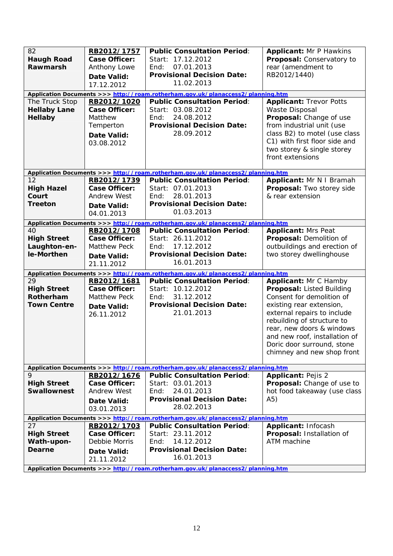| 82<br><b>Haugh Road</b><br>Rawmarsh<br>The Truck Stop<br><b>Hellaby Lane</b><br>Hellaby | RB2012/1757<br><b>Case Officer:</b><br>Anthony Lowe<br>Date Valid:<br>17.12.2012<br>RB2012/1020<br>Case Officer:<br>Matthew<br>Temperton<br><b>Date Valid:</b><br>03.08.2012 | <b>Public Consultation Period:</b><br>Start: 17.12.2012<br>07.01.2013<br>End:<br><b>Provisional Decision Date:</b><br>11.02.2013<br>Application Documents >>> http://roam.rotherham.gov.uk/planaccess2/planning.htm<br><b>Public Consultation Period:</b><br>Start: 03.08.2012<br>24.08.2012<br>End:<br><b>Provisional Decision Date:</b><br>28.09.2012 | <b>Applicant: Mr P Hawkins</b><br>Proposal: Conservatory to<br>rear (amendment to<br>RB2012/1440)<br><b>Applicant: Trevor Potts</b><br>Waste Disposal<br>Proposal: Change of use<br>from industrial unit (use<br>class B2) to motel (use class<br>C1) with first floor side and                    |
|-----------------------------------------------------------------------------------------|------------------------------------------------------------------------------------------------------------------------------------------------------------------------------|---------------------------------------------------------------------------------------------------------------------------------------------------------------------------------------------------------------------------------------------------------------------------------------------------------------------------------------------------------|----------------------------------------------------------------------------------------------------------------------------------------------------------------------------------------------------------------------------------------------------------------------------------------------------|
|                                                                                         |                                                                                                                                                                              |                                                                                                                                                                                                                                                                                                                                                         | two storey & single storey<br>front extensions                                                                                                                                                                                                                                                     |
|                                                                                         |                                                                                                                                                                              | Application Documents >>> http://roam.rotherham.gov.uk/planaccess2/planning.htm                                                                                                                                                                                                                                                                         |                                                                                                                                                                                                                                                                                                    |
| 12<br><b>High Hazel</b><br>Court<br><b>Treeton</b>                                      | RB2012/1739<br><b>Case Officer:</b><br><b>Andrew West</b><br><b>Date Valid:</b><br>04.01.2013                                                                                | <b>Public Consultation Period:</b><br>Start: 07.01.2013<br>28.01.2013<br>End:<br><b>Provisional Decision Date:</b><br>01.03.2013                                                                                                                                                                                                                        | Applicant: Mr N I Bramah<br>Proposal: Two storey side<br>& rear extension                                                                                                                                                                                                                          |
|                                                                                         |                                                                                                                                                                              | Application Documents >>> http://roam.rotherham.gov.uk/planaccess2/planning.htm                                                                                                                                                                                                                                                                         |                                                                                                                                                                                                                                                                                                    |
| 40<br><b>High Street</b><br>Laughton-en-<br>le-Morthen                                  | RB2012/1708<br><b>Case Officer:</b><br><b>Matthew Peck</b><br>Date Valid:<br>21.11.2012                                                                                      | <b>Public Consultation Period:</b><br>Start: 26.11.2012<br>17.12.2012<br>End:<br><b>Provisional Decision Date:</b><br>16.01.2013                                                                                                                                                                                                                        | <b>Applicant: Mrs Peat</b><br>Proposal: Demolition of<br>outbuildings and erection of<br>two storey dwellinghouse                                                                                                                                                                                  |
|                                                                                         |                                                                                                                                                                              | Application Documents >>> http://roam.rotherham.gov.uk/planaccess2/planning.htm                                                                                                                                                                                                                                                                         |                                                                                                                                                                                                                                                                                                    |
| 29<br><b>High Street</b><br>Rotherham<br><b>Town Centre</b>                             | RB2012/1681<br><b>Case Officer:</b><br><b>Matthew Peck</b><br>Date Valid:<br>26.11.2012                                                                                      | <b>Public Consultation Period:</b><br>Start: 10.12.2012<br>31.12.2012<br>End:<br><b>Provisional Decision Date:</b><br>21.01.2013                                                                                                                                                                                                                        | Applicant: Mr C Hamby<br>Proposal: Listed Building<br>Consent for demolition of<br>existing rear extension,<br>external repairs to include<br>rebuilding of structure to<br>rear, new doors & windows<br>and new roof, installation of<br>Doric door surround, stone<br>chimney and new shop front |
|                                                                                         |                                                                                                                                                                              | Application Documents >>> http://roam.rotherham.gov.uk/planaccess2/planning.htm                                                                                                                                                                                                                                                                         |                                                                                                                                                                                                                                                                                                    |
| 9<br><b>High Street</b><br><b>Swallownest</b>                                           | RB2012/1676<br><b>Case Officer:</b><br><b>Andrew West</b><br>Date Valid:<br>03.01.2013                                                                                       | <b>Public Consultation Period:</b><br>Start: 03.01.2013<br>24.01.2013<br>End:<br><b>Provisional Decision Date:</b><br>28.02.2013                                                                                                                                                                                                                        | <b>Applicant: Pejis 2</b><br>Proposal: Change of use to<br>hot food takeaway (use class<br>A5)                                                                                                                                                                                                     |
|                                                                                         |                                                                                                                                                                              | Application Documents >>> http://roam.rotherham.gov.uk/planaccess2/planning.htm                                                                                                                                                                                                                                                                         |                                                                                                                                                                                                                                                                                                    |
| 27<br><b>High Street</b><br>Wath-upon-<br><b>Dearne</b>                                 | RB2012/1703<br><b>Case Officer:</b><br>Debbie Morris<br>Date Valid:<br>21.11.2012                                                                                            | <b>Public Consultation Period:</b><br>Start: 23.11.2012<br>14.12.2012<br>End:<br><b>Provisional Decision Date:</b><br>16.01.2013                                                                                                                                                                                                                        | Applicant: Infocash<br>Proposal: Installation of<br>ATM machine                                                                                                                                                                                                                                    |
|                                                                                         |                                                                                                                                                                              | Application Documents >>> http://roam.rotherham.gov.uk/planaccess2/planning.htm                                                                                                                                                                                                                                                                         |                                                                                                                                                                                                                                                                                                    |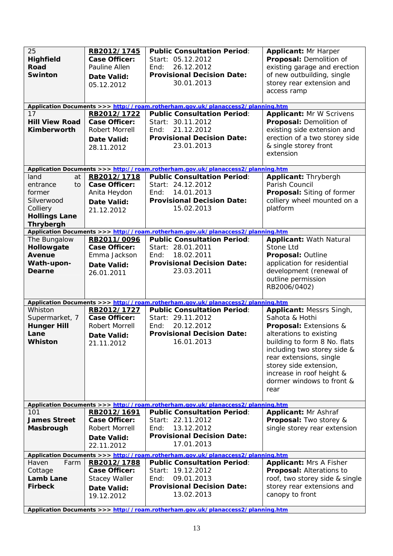| 25<br><b>Highfield</b><br><b>Road</b><br><b>Swinton</b><br>17<br><b>Hill View Road</b><br>Kimberworth        | RB2012/1745<br><b>Case Officer:</b><br>Pauline Allen<br>Date Valid:<br>05.12.2012<br>RB2012/1722<br><b>Case Officer:</b><br>Robert Morrell<br>Date Valid:<br>28.11.2012 | <b>Public Consultation Period:</b><br>Start: 05.12.2012<br>26.12.2012<br>End:<br><b>Provisional Decision Date:</b><br>30.01.2013<br>Application Documents >>> http://roam.rotherham.gov.uk/planaccess2/planning.htm<br><b>Public Consultation Period:</b><br>Start: 30.11.2012<br>21.12.2012<br>End:<br><b>Provisional Decision Date:</b><br>23.01.2013 | <b>Applicant: Mr Harper</b><br>Proposal: Demolition of<br>existing garage and erection<br>of new outbuilding, single<br>storey rear extension and<br>access ramp<br><b>Applicant: Mr W Scrivens</b><br>Proposal: Demolition of<br>existing side extension and<br>erection of a two storey side<br>& single storey front<br>extension |
|--------------------------------------------------------------------------------------------------------------|-------------------------------------------------------------------------------------------------------------------------------------------------------------------------|---------------------------------------------------------------------------------------------------------------------------------------------------------------------------------------------------------------------------------------------------------------------------------------------------------------------------------------------------------|--------------------------------------------------------------------------------------------------------------------------------------------------------------------------------------------------------------------------------------------------------------------------------------------------------------------------------------|
|                                                                                                              |                                                                                                                                                                         | Application Documents >>> http://roam.rotherham.gov.uk/planaccess2/planning.htm                                                                                                                                                                                                                                                                         |                                                                                                                                                                                                                                                                                                                                      |
| land<br>at<br>entrance<br>to<br>former<br>Silverwood<br>Colliery<br><b>Hollings Lane</b><br><b>Thrybergh</b> | RB2012/1718<br><b>Case Officer:</b><br>Anita Heydon<br><b>Date Valid:</b><br>21.12.2012                                                                                 | <b>Public Consultation Period:</b><br>Start: 24.12.2012<br>14.01.2013<br>End:<br><b>Provisional Decision Date:</b><br>15.02.2013                                                                                                                                                                                                                        | Applicant: Thrybergh<br>Parish Council<br>Proposal: Siting of former<br>colliery wheel mounted on a<br>platform                                                                                                                                                                                                                      |
|                                                                                                              |                                                                                                                                                                         | Application Documents >>> http://roam.rotherham.gov.uk/planaccess2/planning.htm                                                                                                                                                                                                                                                                         |                                                                                                                                                                                                                                                                                                                                      |
| The Bungalow<br>Hollowgate<br><b>Avenue</b><br>Wath-upon-<br>Dearne                                          | RB2011/0096<br><b>Case Officer:</b><br>Emma Jackson<br>Date Valid:<br>26.01.2011                                                                                        | <b>Public Consultation Period:</b><br>Start: 28.01.2011<br>18.02.2011<br>End:<br><b>Provisional Decision Date:</b><br>23.03.2011                                                                                                                                                                                                                        | <b>Applicant: Wath Natural</b><br>Stone Ltd<br>Proposal: Outline<br>application for residential<br>development (renewal of<br>outline permission<br>RB2006/0402)                                                                                                                                                                     |
|                                                                                                              |                                                                                                                                                                         | Application Documents >>> http://roam.rotherham.gov.uk/planaccess2/planning.htm                                                                                                                                                                                                                                                                         |                                                                                                                                                                                                                                                                                                                                      |
| Whiston<br>Supermarket, 7<br><b>Hunger Hill</b><br>Lane<br><b>Whiston</b>                                    | RB2012/1727<br><b>Case Officer:</b><br>Robert Morrell<br>Date Valid:<br>21.11.2012                                                                                      | <b>Public Consultation Period:</b><br>Start: 29.11.2012<br>20.12.2012<br>End:<br><b>Provisional Decision Date:</b><br>16.01.2013                                                                                                                                                                                                                        | Applicant: Messrs Singh,<br>Sahota & Hothi<br><b>Proposal:</b> Extensions &<br>alterations to existing<br>building to form 8 No. flats<br>including two storey side &<br>rear extensions, single<br>storey side extension,<br>increase in roof height &<br>dormer windows to front &<br>rear                                         |
|                                                                                                              |                                                                                                                                                                         | Application Documents >>> http://roam.rotherham.gov.uk/planaccess2/planning.htm                                                                                                                                                                                                                                                                         |                                                                                                                                                                                                                                                                                                                                      |
| 101<br><b>James Street</b><br>Masbrough                                                                      | RB2012/1691<br><b>Case Officer:</b><br>Robert Morrell<br>Date Valid:<br>22.11.2012                                                                                      | <b>Public Consultation Period:</b><br>Start: 22.11.2012<br>13.12.2012<br>End:<br><b>Provisional Decision Date:</b><br>17.01.2013                                                                                                                                                                                                                        | <b>Applicant: Mr Ashraf</b><br><b>Proposal:</b> Two storey &<br>single storey rear extension                                                                                                                                                                                                                                         |
|                                                                                                              |                                                                                                                                                                         | Application Documents >>> http://roam.rotherham.gov.uk/planaccess2/planning.htm                                                                                                                                                                                                                                                                         |                                                                                                                                                                                                                                                                                                                                      |
| Farm<br>Haven<br>Cottage<br>Lamb Lane<br><b>Firbeck</b>                                                      | RB2012/1788<br>Case Officer:<br><b>Stacey Waller</b><br>Date Valid:<br>19.12.2012                                                                                       | <b>Public Consultation Period:</b><br>Start: 19.12.2012<br>09.01.2013<br>End:<br><b>Provisional Decision Date:</b><br>13.02.2013<br>Application Documents >>> http://roam.rotherham.gov.uk/planaccess2/planning.htm                                                                                                                                     | <b>Applicant: Mrs A Fisher</b><br>Proposal: Alterations to<br>roof, two storey side & single<br>storey rear extensions and<br>canopy to front                                                                                                                                                                                        |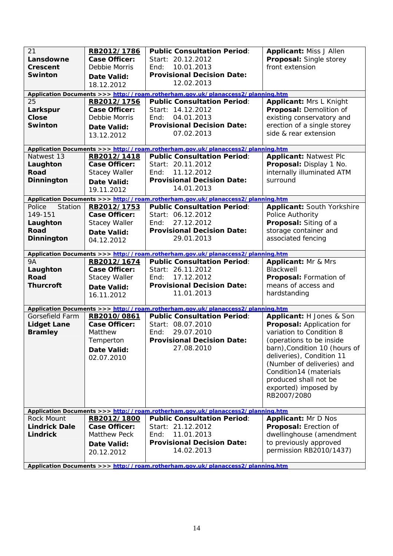| 21<br>Lansdowne<br><b>Crescent</b><br><b>Swinton</b><br>25<br>Larkspur<br><b>Close</b><br>Swinton | RB2012/1786<br><b>Case Officer:</b><br>Debbie Morris<br>Date Valid:<br>18.12.2012<br>RB2012/1756<br><b>Case Officer:</b><br>Debbie Morris<br>Date Valid:<br>13.12.2012 | <b>Public Consultation Period:</b><br>Start: 20.12.2012<br>10.01.2013<br>End:<br><b>Provisional Decision Date:</b><br>12.02.2013<br>Application Documents >>> http://roam.rotherham.gov.uk/planaccess2/planning.htm<br><b>Public Consultation Period:</b><br>Start: 14.12.2012<br>04.01.2013<br>End:<br><b>Provisional Decision Date:</b><br>07.02.2013 | <b>Applicant: Miss J Allen</b><br>Proposal: Single storey<br>front extension<br><b>Applicant: Mrs L Knight</b><br>Proposal: Demolition of<br>existing conservatory and<br>erection of a single storey<br>side & rear extension                                                                      |
|---------------------------------------------------------------------------------------------------|------------------------------------------------------------------------------------------------------------------------------------------------------------------------|---------------------------------------------------------------------------------------------------------------------------------------------------------------------------------------------------------------------------------------------------------------------------------------------------------------------------------------------------------|-----------------------------------------------------------------------------------------------------------------------------------------------------------------------------------------------------------------------------------------------------------------------------------------------------|
|                                                                                                   |                                                                                                                                                                        |                                                                                                                                                                                                                                                                                                                                                         |                                                                                                                                                                                                                                                                                                     |
| Natwest 13<br>Laughton<br><b>Road</b><br><b>Dinnington</b>                                        | RB2012/1418<br><b>Case Officer:</b><br><b>Stacey Waller</b><br><b>Date Valid:</b><br>19.11.2012                                                                        | Application Documents >>> http://roam.rotherham.gov.uk/planaccess2/planning.htm<br><b>Public Consultation Period:</b><br>Start: 20.11.2012<br>11.12.2012<br>End:<br><b>Provisional Decision Date:</b><br>14.01.2013                                                                                                                                     | <b>Applicant: Natwest Plc</b><br>Proposal: Display 1 No.<br>internally illuminated ATM<br>surround                                                                                                                                                                                                  |
|                                                                                                   |                                                                                                                                                                        | Application Documents >>> http://roam.rotherham.gov.uk/planaccess2/planning.htm                                                                                                                                                                                                                                                                         |                                                                                                                                                                                                                                                                                                     |
| Police<br>Station<br>149-151<br>Laughton<br><b>Road</b><br><b>Dinnington</b>                      | RB2012/1753<br><b>Case Officer:</b><br><b>Stacey Waller</b><br>Date Valid:<br>04.12.2012                                                                               | <b>Public Consultation Period:</b><br>Start: 06.12.2012<br>27.12.2012<br>End:<br><b>Provisional Decision Date:</b><br>29.01.2013                                                                                                                                                                                                                        | Applicant: South Yorkshire<br>Police Authority<br>Proposal: Siting of a<br>storage container and<br>associated fencing                                                                                                                                                                              |
|                                                                                                   |                                                                                                                                                                        | Application Documents >>> http://roam.rotherham.gov.uk/planaccess2/planning.htm                                                                                                                                                                                                                                                                         |                                                                                                                                                                                                                                                                                                     |
| <b>9A</b><br>Laughton<br><b>Road</b><br><b>Thurcroft</b>                                          | RB2012/1674<br><b>Case Officer:</b><br><b>Stacey Waller</b><br><b>Date Valid:</b><br>16.11.2012                                                                        | <b>Public Consultation Period:</b><br>Start: 26.11.2012<br>17.12.2012<br>End:<br><b>Provisional Decision Date:</b><br>11.01.2013                                                                                                                                                                                                                        | <b>Applicant: Mr &amp; Mrs</b><br>Blackwell<br>Proposal: Formation of<br>means of access and<br>hardstanding                                                                                                                                                                                        |
|                                                                                                   |                                                                                                                                                                        | Application Documents >>> http://roam.rotherham.gov.uk/planaccess2/planning.htm                                                                                                                                                                                                                                                                         |                                                                                                                                                                                                                                                                                                     |
| Gorsefield Farm<br><b>Lidget Lane</b><br><b>Bramley</b>                                           | RB2010/0861<br><b>Case Officer:</b><br>Matthew<br>Temperton<br><b>Date Valid:</b><br>02.07.2010                                                                        | <b>Public Consultation Period:</b><br>Start: 08.07.2010<br>29.07.2010<br>End:<br><b>Provisional Decision Date:</b><br>27.08.2010                                                                                                                                                                                                                        | Applicant: H Jones & Son<br>Proposal: Application for<br>variation to Condition 8<br>(operations to be inside<br>barn), Condition 10 (hours of<br>deliveries), Condition 11<br>(Number of deliveries) and<br>Condition14 (materials<br>produced shall not be<br>exported) imposed by<br>RB2007/2080 |
| Rock Mount                                                                                        | RB2012/1800                                                                                                                                                            | Application Documents >>> http://roam.rotherham.gov.uk/planaccess2/planning.htm<br><b>Public Consultation Period:</b>                                                                                                                                                                                                                                   | <b>Applicant: Mr D Nos</b>                                                                                                                                                                                                                                                                          |
| <b>Lindrick Dale</b><br><b>Lindrick</b><br>Annlication Documents                                  | <b>Case Officer:</b><br>Matthew Peck<br>Date Valid:<br>20.12.2012                                                                                                      | Start: 21.12.2012<br>11.01.2013<br>End:<br><b>Provisional Decision Date:</b><br>14.02.2013<br>http://roam.rothorham.gov.uk/planaceose3/planning.htm                                                                                                                                                                                                     | Proposal: Erection of<br>dwellinghouse (amendment<br>to previously approved<br>permission RB2010/1437)                                                                                                                                                                                              |

**Application Documents >**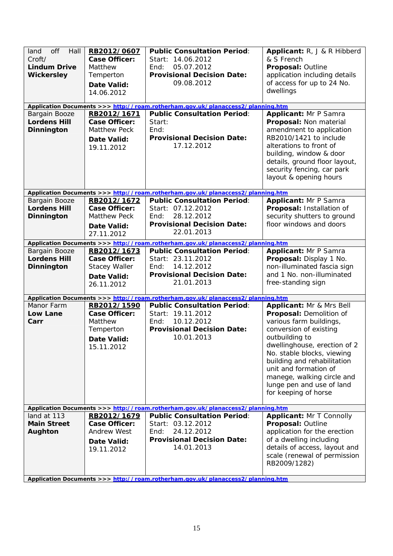| off<br>Hall<br>land<br>Croft/<br><b>Lindum Drive</b><br><b>Wickersley</b> | RB2012/0607<br><b>Case Officer:</b><br>Matthew<br>Temperton<br><b>Date Valid:</b><br>14.06.2012 | <b>Public Consultation Period:</b><br>Start: 14.06.2012<br>05.07.2012<br>End:<br><b>Provisional Decision Date:</b><br>09.08.2012<br>Application Documents >>> http://roam.rotherham.gov.uk/planaccess2/planning.htm | Applicant: R, J & R Hibberd<br>& S French<br>Proposal: Outline<br>application including details<br>of access for up to 24 No.<br>dwellings |
|---------------------------------------------------------------------------|-------------------------------------------------------------------------------------------------|---------------------------------------------------------------------------------------------------------------------------------------------------------------------------------------------------------------------|--------------------------------------------------------------------------------------------------------------------------------------------|
| Bargain Booze                                                             | RB2012/1671                                                                                     | <b>Public Consultation Period:</b>                                                                                                                                                                                  | <b>Applicant: Mr P Samra</b>                                                                                                               |
| <b>Lordens Hill</b>                                                       | <b>Case Officer:</b>                                                                            | Start:                                                                                                                                                                                                              | Proposal: Non material                                                                                                                     |
| Dinnington                                                                | <b>Matthew Peck</b>                                                                             | End:                                                                                                                                                                                                                | amendment to application                                                                                                                   |
|                                                                           | Date Valid:                                                                                     | <b>Provisional Decision Date:</b>                                                                                                                                                                                   | RB2010/1421 to include                                                                                                                     |
|                                                                           | 19.11.2012                                                                                      | 17.12.2012                                                                                                                                                                                                          | alterations to front of<br>building, window & door                                                                                         |
|                                                                           |                                                                                                 |                                                                                                                                                                                                                     | details, ground floor layout,                                                                                                              |
|                                                                           |                                                                                                 |                                                                                                                                                                                                                     | security fencing, car park                                                                                                                 |
|                                                                           |                                                                                                 |                                                                                                                                                                                                                     | layout & opening hours                                                                                                                     |
|                                                                           |                                                                                                 | Application Documents >>> http://roam.rotherham.gov.uk/planaccess2/planning.htm                                                                                                                                     |                                                                                                                                            |
| Bargain Booze                                                             | RB2012/1672                                                                                     | <b>Public Consultation Period:</b>                                                                                                                                                                                  | Applicant: Mr P Samra                                                                                                                      |
| <b>Lordens Hill</b>                                                       | <b>Case Officer:</b>                                                                            | Start: 07.12.2012                                                                                                                                                                                                   | Proposal: Installation of                                                                                                                  |
| Dinnington                                                                | <b>Matthew Peck</b>                                                                             | 28.12.2012<br>Fnd:<br><b>Provisional Decision Date:</b>                                                                                                                                                             | security shutters to ground<br>floor windows and doors                                                                                     |
|                                                                           | Date Valid:<br>27.11.2012                                                                       | 22.01.2013                                                                                                                                                                                                          |                                                                                                                                            |
|                                                                           |                                                                                                 | Application Documents >>> http://roam.rotherham.gov.uk/planaccess2/planning.htm                                                                                                                                     |                                                                                                                                            |
| Bargain Booze                                                             | RB2012/1673                                                                                     | <b>Public Consultation Period:</b>                                                                                                                                                                                  | <b>Applicant: Mr P Samra</b>                                                                                                               |
| <b>Lordens Hill</b>                                                       | <b>Case Officer:</b>                                                                            | Start: 23.11.2012                                                                                                                                                                                                   | Proposal: Display 1 No.                                                                                                                    |
| Dinnington                                                                | <b>Stacey Waller</b>                                                                            | 14.12.2012<br>End:                                                                                                                                                                                                  | non-illuminated fascia sign                                                                                                                |
|                                                                           | Date Valid:                                                                                     | <b>Provisional Decision Date:</b>                                                                                                                                                                                   | and 1 No. non-illuminated                                                                                                                  |
|                                                                           | 26.11.2012                                                                                      | 21.01.2013                                                                                                                                                                                                          | free-standing sign                                                                                                                         |
|                                                                           |                                                                                                 | Application Documents >>> http://roam.rotherham.gov.uk/planaccess2/planning.htm                                                                                                                                     |                                                                                                                                            |
| Manor Farm                                                                | RB2012/1590                                                                                     | <b>Public Consultation Period:</b>                                                                                                                                                                                  | Applicant: Mr & Mrs Bell                                                                                                                   |
| Low Lane                                                                  | <b>Case Officer:</b>                                                                            | Start: 19.11.2012                                                                                                                                                                                                   | Proposal: Demolition of                                                                                                                    |
| Carr                                                                      | Matthew<br>Temperton                                                                            | 10.12.2012<br>End:<br><b>Provisional Decision Date:</b>                                                                                                                                                             | various farm buildings,<br>conversion of existing                                                                                          |
|                                                                           | Date Valid:                                                                                     | 10.01.2013                                                                                                                                                                                                          | outbuilding to                                                                                                                             |
|                                                                           | 15.11.2012                                                                                      |                                                                                                                                                                                                                     | dwellinghouse, erection of 2                                                                                                               |
|                                                                           |                                                                                                 |                                                                                                                                                                                                                     | No. stable blocks, viewing                                                                                                                 |
|                                                                           |                                                                                                 |                                                                                                                                                                                                                     | building and rehabilitation                                                                                                                |
|                                                                           |                                                                                                 |                                                                                                                                                                                                                     | unit and formation of<br>manege, walking circle and                                                                                        |
|                                                                           |                                                                                                 |                                                                                                                                                                                                                     | lunge pen and use of land                                                                                                                  |
|                                                                           |                                                                                                 |                                                                                                                                                                                                                     | for keeping of horse                                                                                                                       |
|                                                                           |                                                                                                 | Application Documents >>> http://roam.rotherham.gov.uk/planaccess2/planning.htm                                                                                                                                     |                                                                                                                                            |
| land at 113                                                               | RB2012/1679                                                                                     | <b>Public Consultation Period:</b>                                                                                                                                                                                  | Applicant: Mr T Connolly                                                                                                                   |
| <b>Main Street</b>                                                        | <b>Case Officer:</b>                                                                            | Start: 03.12.2012                                                                                                                                                                                                   | Proposal: Outline                                                                                                                          |
| Aughton                                                                   | <b>Andrew West</b>                                                                              | 24.12.2012<br>End:                                                                                                                                                                                                  | application for the erection                                                                                                               |
|                                                                           | Date Valid:                                                                                     | <b>Provisional Decision Date:</b>                                                                                                                                                                                   | of a dwelling including                                                                                                                    |
|                                                                           | 19.11.2012                                                                                      | 14.01.2013                                                                                                                                                                                                          | details of access, layout and                                                                                                              |
|                                                                           |                                                                                                 |                                                                                                                                                                                                                     | scale (renewal of permission<br>RB2009/1282)                                                                                               |
|                                                                           |                                                                                                 |                                                                                                                                                                                                                     |                                                                                                                                            |
|                                                                           |                                                                                                 |                                                                                                                                                                                                                     |                                                                                                                                            |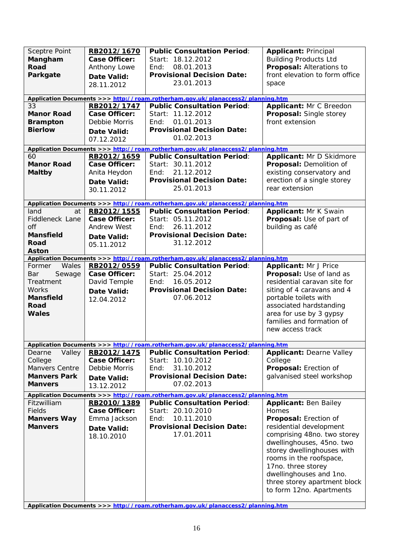| <b>Sceptre Point</b><br>Mangham<br>Road<br>Parkgate<br>33<br><b>Manor Road</b><br><b>Brampton</b><br><b>Bierlow</b> | RB2012/1670<br><b>Case Officer:</b><br>Anthony Lowe<br><b>Date Valid:</b><br>28.11.2012<br>RB2012/1747<br><b>Case Officer:</b><br>Debbie Morris<br><b>Date Valid:</b><br>07.12.2012 | <b>Public Consultation Period:</b><br>Start: 18.12.2012<br>08.01.2013<br>End:<br><b>Provisional Decision Date:</b><br>23.01.2013<br>Application Documents >>> http://roam.rotherham.gov.uk/planaccess2/planning.htm<br><b>Public Consultation Period:</b><br>Start: 11.12.2012<br>01.01.2013<br>Fnd:<br><b>Provisional Decision Date:</b><br>01.02.2013 | <b>Applicant: Principal</b><br><b>Building Products Ltd</b><br>Proposal: Alterations to<br>front elevation to form office<br>space<br>Applicant: Mr C Breedon<br>Proposal: Single storey<br>front extension                                                                                 |
|---------------------------------------------------------------------------------------------------------------------|-------------------------------------------------------------------------------------------------------------------------------------------------------------------------------------|---------------------------------------------------------------------------------------------------------------------------------------------------------------------------------------------------------------------------------------------------------------------------------------------------------------------------------------------------------|---------------------------------------------------------------------------------------------------------------------------------------------------------------------------------------------------------------------------------------------------------------------------------------------|
|                                                                                                                     |                                                                                                                                                                                     | Application Documents >>> http://roam.rotherham.gov.uk/planaccess2/planning.htm                                                                                                                                                                                                                                                                         |                                                                                                                                                                                                                                                                                             |
| 60<br><b>Manor Road</b><br><b>Maltby</b>                                                                            | RB2012/1659<br><b>Case Officer:</b><br>Anita Heydon<br><b>Date Valid:</b><br>30.11.2012                                                                                             | <b>Public Consultation Period:</b><br>Start: 30.11.2012<br>21.12.2012<br>End:<br><b>Provisional Decision Date:</b><br>25.01.2013                                                                                                                                                                                                                        | Applicant: Mr D Skidmore<br>Proposal: Demolition of<br>existing conservatory and<br>erection of a single storey<br>rear extension                                                                                                                                                           |
|                                                                                                                     |                                                                                                                                                                                     | Application Documents >>> http://roam.rotherham.gov.uk/planaccess2/planning.htm                                                                                                                                                                                                                                                                         |                                                                                                                                                                                                                                                                                             |
| land<br>at<br>Fiddleneck Lane<br>off<br><b>Mansfield</b><br>Road<br><b>Aston</b>                                    | RB2012/1555<br><b>Case Officer:</b><br><b>Andrew West</b><br><b>Date Valid:</b><br>05.11.2012                                                                                       | <b>Public Consultation Period:</b><br>Start: 05.11.2012<br>26.11.2012<br>End:<br><b>Provisional Decision Date:</b><br>31.12.2012                                                                                                                                                                                                                        | Applicant: Mr K Swain<br>Proposal: Use of part of<br>building as café                                                                                                                                                                                                                       |
|                                                                                                                     |                                                                                                                                                                                     | Application Documents >>> http://roam.rotherham.gov.uk/planaccess2/planning.htm                                                                                                                                                                                                                                                                         |                                                                                                                                                                                                                                                                                             |
| Wales<br>Former<br>Sewage<br>Bar<br>Treatment<br>Works<br><b>Mansfield</b><br>Road<br>Wales                         | RB2012/0559<br><b>Case Officer:</b><br>David Temple<br><b>Date Valid:</b><br>12.04.2012                                                                                             | <b>Public Consultation Period:</b><br>Start: 25.04.2012<br>16.05.2012<br>End:<br><b>Provisional Decision Date:</b><br>07.06.2012                                                                                                                                                                                                                        | <b>Applicant: Mr J Price</b><br>Proposal: Use of land as<br>residential caravan site for<br>siting of 4 caravans and 4<br>portable toilets with<br>associated hardstanding<br>area for use by 3 gypsy<br>families and formation of<br>new access track                                      |
|                                                                                                                     |                                                                                                                                                                                     | Application Documents >>> http://roam.rotherham.gov.uk/planaccess2/planning.htm                                                                                                                                                                                                                                                                         |                                                                                                                                                                                                                                                                                             |
| Valley<br>Dearne<br>College<br>Manvers Centre<br><b>Manvers Park</b><br><b>Manvers</b>                              | RB2012/1475<br><b>Case Officer:</b><br>Debbie Morris<br>Date Valid:<br>13.12.2012                                                                                                   | <b>Public Consultation Period:</b><br>Start: 10.10.2012<br>31.10.2012<br>End:<br><b>Provisional Decision Date:</b><br>07.02.2013                                                                                                                                                                                                                        | <b>Applicant: Dearne Valley</b><br>College<br>Proposal: Erection of<br>galvanised steel workshop                                                                                                                                                                                            |
| Fitzwilliam                                                                                                         | RB2010/1389                                                                                                                                                                         | Application Documents >>> http://roam.rotherham.gov.uk/planaccess2/planning.htm<br><b>Public Consultation Period:</b>                                                                                                                                                                                                                                   | <b>Applicant: Ben Bailey</b>                                                                                                                                                                                                                                                                |
| Fields<br><b>Manvers Way</b><br><b>Manvers</b>                                                                      | <b>Case Officer:</b><br>Emma Jackson<br>Date Valid:<br>18.10.2010                                                                                                                   | Start: 20.10.2010<br>10.11.2010<br>End:<br><b>Provisional Decision Date:</b><br>17.01.2011                                                                                                                                                                                                                                                              | Homes<br>Proposal: Erection of<br>residential development<br>comprising 48no. two storey<br>dwellinghouses, 45no. two<br>storey dwellinghouses with<br>rooms in the roofspace,<br>17no. three storey<br>dwellinghouses and 1no.<br>three storey apartment block<br>to form 12no. Apartments |
|                                                                                                                     |                                                                                                                                                                                     | Application Documents >>> http://roam.rotherham.gov.uk/planaccess2/planning.htm                                                                                                                                                                                                                                                                         |                                                                                                                                                                                                                                                                                             |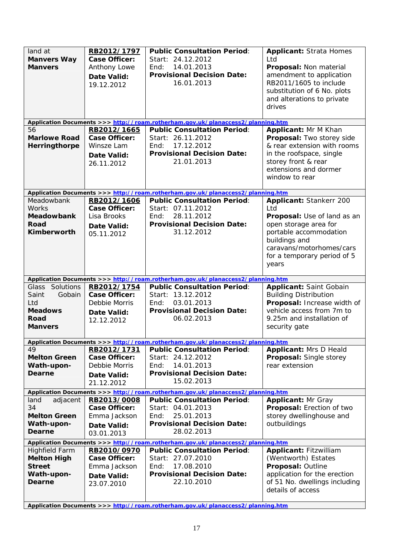| land at<br><b>Manvers Way</b><br><b>Manvers</b>                                      | RB2012/1797<br><b>Case Officer:</b><br>Anthony Lowe<br><b>Date Valid:</b><br>19.12.2012 | <b>Public Consultation Period:</b><br>Start: 24.12.2012<br>14.01.2013<br>End:<br><b>Provisional Decision Date:</b><br>16.01.2013                                                                                    | <b>Applicant: Strata Homes</b><br>Ltd<br>Proposal: Non material<br>amendment to application<br>RB2011/1605 to include<br>substitution of 6 No. plots<br>and alterations to private<br>drives          |
|--------------------------------------------------------------------------------------|-----------------------------------------------------------------------------------------|---------------------------------------------------------------------------------------------------------------------------------------------------------------------------------------------------------------------|-------------------------------------------------------------------------------------------------------------------------------------------------------------------------------------------------------|
|                                                                                      |                                                                                         | Application Documents >>> http://roam.rotherham.gov.uk/planaccess2/planning.htm                                                                                                                                     |                                                                                                                                                                                                       |
| 56<br><b>Marlowe Road</b><br>Herringthorpe                                           | RB2012/1665<br><b>Case Officer:</b><br>Winsze Lam<br>Date Valid:<br>26.11.2012          | <b>Public Consultation Period:</b><br>Start: 26.11.2012<br>17.12.2012<br>End:<br><b>Provisional Decision Date:</b><br>21.01.2013                                                                                    | Applicant: Mr M Khan<br>Proposal: Two storey side<br>& rear extension with rooms<br>in the roofspace, single<br>storey front & rear<br>extensions and dormer<br>window to rear                        |
|                                                                                      |                                                                                         | Application Documents >>> http://roam.rotherham.gov.uk/planaccess2/planning.htm                                                                                                                                     |                                                                                                                                                                                                       |
| Meadowbank<br>Works<br><b>Meadowbank</b><br><b>Road</b><br>Kimberworth               | RB2012/1606<br><b>Case Officer:</b><br>Lisa Brooks<br><b>Date Valid:</b><br>05.11.2012  | <b>Public Consultation Period:</b><br>Start: 07.11.2012<br>28.11.2012<br>End:<br><b>Provisional Decision Date:</b><br>31.12.2012                                                                                    | Applicant: Stankerr 200<br>Ltd<br>Proposal: Use of land as an<br>open storage area for<br>portable accommodation<br>buildings and<br>caravans/motorhomes/cars<br>for a temporary period of 5<br>years |
|                                                                                      |                                                                                         | Application Documents >>> http://roam.rotherham.gov.uk/planaccess2/planning.htm                                                                                                                                     |                                                                                                                                                                                                       |
| Glass Solutions                                                                      | RB2012/1754                                                                             | <b>Public Consultation Period:</b>                                                                                                                                                                                  | <b>Applicant: Saint Gobain</b>                                                                                                                                                                        |
| Gobain<br>Saint<br>Ltd<br><b>Meadows</b><br><b>Road</b><br><b>Manvers</b>            | <b>Case Officer:</b><br>Debbie Morris<br>Date Valid:<br>12.12.2012                      | Start: 13.12.2012<br>03.01.2013<br>End:<br><b>Provisional Decision Date:</b><br>06.02.2013                                                                                                                          | <b>Building Distribution</b><br>Proposal: Increase width of<br>vehicle access from 7m to<br>9.25m and installation of<br>security gate                                                                |
|                                                                                      |                                                                                         | Application Documents >>> http://roam.rotherham.gov.uk/planaccess2/planning.htm                                                                                                                                     |                                                                                                                                                                                                       |
| 49<br><b>Melton Green</b><br>Wath-upon-<br>Dearne                                    | RB2012/1731<br><b>Case Officer:</b><br>Debbie Morris<br>Date Valid:<br>21.12.2012       | <b>Public Consultation Period:</b><br>Start: 24.12.2012<br>14.01.2013<br>End:<br><b>Provisional Decision Date:</b><br>15.02.2013                                                                                    | <b>Applicant: Mrs D Heald</b><br><b>Proposal:</b> Single storey<br>rear extension                                                                                                                     |
|                                                                                      |                                                                                         | Application Documents >>> http://roam.rotherham.gov.uk/planaccess2/planning.htm                                                                                                                                     |                                                                                                                                                                                                       |
| land<br>adjacent<br>34<br><b>Melton Green</b><br>Wath-upon-<br>Dearne                | RB2013/0008<br>Case Officer:<br>Emma Jackson<br>Date Valid:<br>03.01.2013               | <b>Public Consultation Period:</b><br>Start: 04.01.2013<br>25.01.2013<br>End:<br><b>Provisional Decision Date:</b><br>28.02.2013                                                                                    | <b>Applicant: Mr Gray</b><br>Proposal: Erection of two<br>storey dwellinghouse and<br>outbuildings                                                                                                    |
|                                                                                      |                                                                                         | Application Documents >>> http://roam.rotherham.gov.uk/planaccess2/planning.htm                                                                                                                                     |                                                                                                                                                                                                       |
| <b>Highfield Farm</b><br><b>Melton High</b><br><b>Street</b><br>Wath-upon-<br>Dearne | RB2010/0970<br>Case Officer:<br>Emma Jackson<br>Date Valid:<br>23.07.2010               | <b>Public Consultation Period:</b><br>Start: 27.07.2010<br>17.08.2010<br>End:<br><b>Provisional Decision Date:</b><br>22.10.2010<br>Application Documents >>> http://roam.rotherham.gov.uk/planaccess2/planning.htm | <b>Applicant: Fitzwilliam</b><br>(Wentworth) Estates<br>Proposal: Outline<br>application for the erection<br>of 51 No. dwellings including<br>details of access                                       |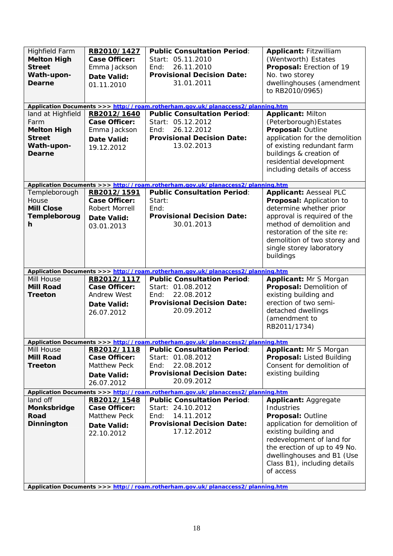| <b>Highfield Farm</b><br><b>Melton High</b><br><b>Street</b><br>Wath-upon-<br><b>Dearne</b> | RB2010/1427<br><b>Case Officer:</b><br>Emma Jackson<br><b>Date Valid:</b><br>01.11.2010 | <b>Public Consultation Period:</b><br>Start: 05.11.2010<br>26.11.2010<br>End:<br><b>Provisional Decision Date:</b><br>31.01.2011 | <b>Applicant: Fitzwilliam</b><br>(Wentworth) Estates<br>Proposal: Erection of 19<br>No. two storey<br>dwellinghouses (amendment<br>to RB2010/0965)                                                                           |
|---------------------------------------------------------------------------------------------|-----------------------------------------------------------------------------------------|----------------------------------------------------------------------------------------------------------------------------------|------------------------------------------------------------------------------------------------------------------------------------------------------------------------------------------------------------------------------|
| land at Highfield                                                                           |                                                                                         | Application Documents >>> http://roam.rotherham.gov.uk/planaccess2/planning.htm<br><b>Public Consultation Period:</b>            |                                                                                                                                                                                                                              |
| Farm<br><b>Melton High</b><br><b>Street</b><br>Wath-upon-<br>Dearne                         | RB2012/1640<br><b>Case Officer:</b><br>Emma Jackson<br>Date Valid:<br>19.12.2012        | Start: 05.12.2012<br>End:<br>26.12.2012<br><b>Provisional Decision Date:</b><br>13.02.2013                                       | <b>Applicant: Milton</b><br>(Peterborough) Estates<br>Proposal: Outline<br>application for the demolition<br>of existing redundant farm<br>buildings & creation of<br>residential development<br>including details of access |
| Templeborough                                                                               | RB2012/1591                                                                             | Application Documents >>> http://roam.rotherham.gov.uk/planaccess2/planning.htm<br><b>Public Consultation Period:</b>            | <b>Applicant: Aesseal PLC</b>                                                                                                                                                                                                |
| House<br><b>Mill Close</b>                                                                  | <b>Case Officer:</b><br><b>Robert Morrell</b>                                           | Start:<br>End:                                                                                                                   | Proposal: Application to<br>determine whether prior                                                                                                                                                                          |
| Templeboroug                                                                                | <b>Date Valid:</b>                                                                      | <b>Provisional Decision Date:</b>                                                                                                | approval is required of the                                                                                                                                                                                                  |
| h                                                                                           | 03.01.2013                                                                              | 30.01.2013                                                                                                                       | method of demolition and<br>restoration of the site re:<br>demolition of two storey and<br>single storey laboratory<br>buildings                                                                                             |
|                                                                                             |                                                                                         | Application Documents >>> http://roam.rotherham.gov.uk/planaccess2/planning.htm                                                  |                                                                                                                                                                                                                              |
|                                                                                             |                                                                                         |                                                                                                                                  |                                                                                                                                                                                                                              |
| Mill House                                                                                  | RB2012/1117                                                                             | <b>Public Consultation Period:</b>                                                                                               | Applicant: Mr S Morgan                                                                                                                                                                                                       |
| <b>Mill Road</b>                                                                            | <b>Case Officer:</b>                                                                    | Start: 01.08.2012<br>End:                                                                                                        | Proposal: Demolition of                                                                                                                                                                                                      |
| <b>Treeton</b>                                                                              | <b>Andrew West</b><br>Date Valid:                                                       | 22.08.2012<br><b>Provisional Decision Date:</b>                                                                                  | existing building and<br>erection of two semi-                                                                                                                                                                               |
|                                                                                             | 26.07.2012                                                                              | 20.09.2012                                                                                                                       | detached dwellings                                                                                                                                                                                                           |
|                                                                                             |                                                                                         |                                                                                                                                  | (amendment to<br>RB2011/1734)                                                                                                                                                                                                |
|                                                                                             |                                                                                         | Application Documents >>> http://roam.rotherham.gov.uk/planaccess2/planning.htm                                                  |                                                                                                                                                                                                                              |
| Mill House                                                                                  | RB2012/1118                                                                             | <b>Public Consultation Period:</b>                                                                                               | <b>Applicant: Mr S Morgan</b>                                                                                                                                                                                                |
| <b>Mill Road</b>                                                                            | <b>Case Officer:</b>                                                                    | Start: 01.08.2012                                                                                                                | Proposal: Listed Building                                                                                                                                                                                                    |
| <b>Treeton</b>                                                                              | <b>Matthew Peck</b>                                                                     | 22.08.2012<br>End:<br><b>Provisional Decision Date:</b>                                                                          | Consent for demolition of                                                                                                                                                                                                    |
|                                                                                             | Date Valid:<br>26.07.2012                                                               | 20.09.2012                                                                                                                       | existing building                                                                                                                                                                                                            |
|                                                                                             |                                                                                         | Application Documents >>> http://roam.rotherham.gov.uk/planaccess2/planning.htm                                                  |                                                                                                                                                                                                                              |
| land off                                                                                    | RB2012/1548                                                                             | <b>Public Consultation Period:</b>                                                                                               | <b>Applicant: Aggregate</b>                                                                                                                                                                                                  |
| Monksbridge                                                                                 | <b>Case Officer:</b>                                                                    | Start: 24.10.2012                                                                                                                | Industries                                                                                                                                                                                                                   |
| Road                                                                                        | <b>Matthew Peck</b>                                                                     | End:<br>14.11.2012<br><b>Provisional Decision Date:</b>                                                                          | Proposal: Outline                                                                                                                                                                                                            |
| Dinnington                                                                                  | Date Valid:<br>22.10.2012                                                               | 17.12.2012                                                                                                                       | application for demolition of<br>existing building and                                                                                                                                                                       |
|                                                                                             |                                                                                         |                                                                                                                                  | redevelopment of land for                                                                                                                                                                                                    |
|                                                                                             |                                                                                         |                                                                                                                                  | the erection of up to 49 No.                                                                                                                                                                                                 |
|                                                                                             |                                                                                         |                                                                                                                                  | dwellinghouses and B1 (Use<br>Class B1), including details                                                                                                                                                                   |
|                                                                                             |                                                                                         |                                                                                                                                  | of access                                                                                                                                                                                                                    |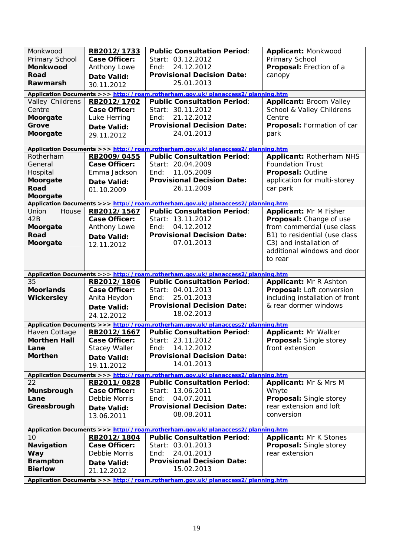| Monkwood<br>Primary School                                                      | RB2012/1733<br><b>Case Officer:</b> | <b>Public Consultation Period:</b><br>Start: 03.12.2012                                       | Applicant: Monkwood<br>Primary School |  |  |
|---------------------------------------------------------------------------------|-------------------------------------|-----------------------------------------------------------------------------------------------|---------------------------------------|--|--|
| Monkwood                                                                        | Anthony Lowe                        | 24.12.2012<br>End:                                                                            | Proposal: Erection of a               |  |  |
| <b>Road</b>                                                                     | Date Valid:                         | <b>Provisional Decision Date:</b>                                                             | canopy                                |  |  |
| Rawmarsh                                                                        | 30.11.2012                          | 25.01.2013                                                                                    |                                       |  |  |
|                                                                                 |                                     | Application Documents >>> http://roam.rotherham.gov.uk/planaccess2/planning.htm               |                                       |  |  |
| Valley Childrens                                                                | RB2012/1702                         | <b>Public Consultation Period:</b>                                                            | <b>Applicant: Broom Valley</b>        |  |  |
| Centre                                                                          | Case Officer:                       | Start: 30.11.2012                                                                             | School & Valley Childrens             |  |  |
| Moorgate<br>Grove                                                               | Luke Herring                        | 21.12.2012<br>End:<br><b>Provisional Decision Date:</b>                                       | Centre<br>Proposal: Formation of car  |  |  |
| Moorgate                                                                        | Date Valid:                         | 24.01.2013                                                                                    | park                                  |  |  |
|                                                                                 | 29.11.2012                          |                                                                                               |                                       |  |  |
|                                                                                 |                                     | Application Documents >>> http://roam.rotherham.gov.uk/planaccess2/planning.htm               |                                       |  |  |
| Rotherham                                                                       | RB2009/0455                         | <b>Public Consultation Period:</b>                                                            | <b>Applicant: Rotherham NHS</b>       |  |  |
| General                                                                         | <b>Case Officer:</b>                | Start: 20.04.2009                                                                             | <b>Foundation Trust</b>               |  |  |
| Hospital                                                                        | Emma Jackson                        | End:<br>11.05.2009                                                                            | Proposal: Outline                     |  |  |
| Moorgate                                                                        | Date Valid:                         | <b>Provisional Decision Date:</b>                                                             | application for multi-storey          |  |  |
| Road                                                                            | 01.10.2009                          | 26.11.2009                                                                                    | car park                              |  |  |
| Moorgate                                                                        |                                     | Application Documents >>> http://roam.rotherham.gov.uk/planaccess2/planning.htm               |                                       |  |  |
| Union<br>House                                                                  | RB2012/1567                         | <b>Public Consultation Period:</b>                                                            | Applicant: Mr M Fisher                |  |  |
| 42B                                                                             | <b>Case Officer:</b>                | Start: 13.11.2012                                                                             | Proposal: Change of use               |  |  |
| Moorgate                                                                        | Anthony Lowe                        | 04.12.2012<br>End:                                                                            | from commercial (use class            |  |  |
| Road                                                                            | <b>Date Valid:</b>                  | <b>Provisional Decision Date:</b>                                                             | B1) to residential (use class         |  |  |
| Moorgate                                                                        | 12.11.2012                          | 07.01.2013                                                                                    | C3) and installation of               |  |  |
|                                                                                 |                                     |                                                                                               | additional windows and door           |  |  |
|                                                                                 |                                     |                                                                                               | to rear                               |  |  |
|                                                                                 |                                     | Application Documents >>> http://roam.rotherham.gov.uk/planaccess2/planning.htm               |                                       |  |  |
| 35                                                                              | RB2012/1806                         | <b>Public Consultation Period:</b>                                                            | <b>Applicant: Mr R Ashton</b>         |  |  |
| <b>Moorlands</b>                                                                | <b>Case Officer:</b>                | Start: 04.01.2013                                                                             | Proposal: Loft conversion             |  |  |
| <b>Wickersley</b>                                                               | Anita Heydon                        | End:<br>25.01.2013                                                                            | including installation of front       |  |  |
|                                                                                 | Date Valid:                         | <b>Provisional Decision Date:</b>                                                             | & rear dormer windows                 |  |  |
|                                                                                 | 24.12.2012                          | 18.02.2013                                                                                    |                                       |  |  |
|                                                                                 |                                     | Application Documents >>> http://roam.rotherham.gov.uk/planaccess2/planning.htm               |                                       |  |  |
| Haven Cottage                                                                   | RB2012/1667                         | <b>Public Consultation Period:</b>                                                            | <b>Applicant: Mr Walker</b>           |  |  |
| <b>Morthen Hall</b>                                                             | <b>Case Officer:</b>                | Start: 23.11.2012                                                                             | Proposal: Single storey               |  |  |
| Lane                                                                            | <b>Stacey Waller</b>                | 14.12.2012<br>End:                                                                            | front extension                       |  |  |
| <b>Morthen</b>                                                                  | Date Valid:                         | <b>Provisional Decision Date:</b>                                                             |                                       |  |  |
|                                                                                 | 19.11.2012                          | 14.01.2013                                                                                    |                                       |  |  |
| Application Documents >>> http://roam.rotherham.gov.uk/planaccess2/planning.htm |                                     |                                                                                               |                                       |  |  |
|                                                                                 |                                     |                                                                                               |                                       |  |  |
| 22                                                                              | RB2011/0828                         | <b>Public Consultation Period:</b>                                                            | <b>Applicant: Mr &amp; Mrs M</b>      |  |  |
| Munsbrough                                                                      | Case Officer:                       | Start: 13.06.2011                                                                             | Whyte                                 |  |  |
| Lane                                                                            | Debbie Morris                       | 04.07.2011<br>End:                                                                            | Proposal: Single storey               |  |  |
| Greasbrough                                                                     | Date Valid:                         | <b>Provisional Decision Date:</b>                                                             | rear extension and loft               |  |  |
|                                                                                 | 13.06.2011                          | 08.08.2011                                                                                    | conversion                            |  |  |
|                                                                                 |                                     | Application Documents >>> http://roam.rotherham.gov.uk/planaccess2/planning.htm               |                                       |  |  |
| 10                                                                              | RB2012/1804                         | <b>Public Consultation Period:</b>                                                            | <b>Applicant: Mr K Stones</b>         |  |  |
| <b>Navigation</b>                                                               | Case Officer:                       | Start: 03.01.2013                                                                             | <b>Proposal: Single storey</b>        |  |  |
| <b>Way</b>                                                                      | Debbie Morris                       | 24.01.2013<br>End:                                                                            | rear extension                        |  |  |
| <b>Brampton</b>                                                                 | Date Valid:                         | <b>Provisional Decision Date:</b>                                                             |                                       |  |  |
| <b>Bierlow</b>                                                                  | 21.12.2012                          | 15.02.2013<br>Application Documents >>> http://roam.rotherham.gov.uk/planaccess?/planning.htm |                                       |  |  |

**Application Documents >>> |**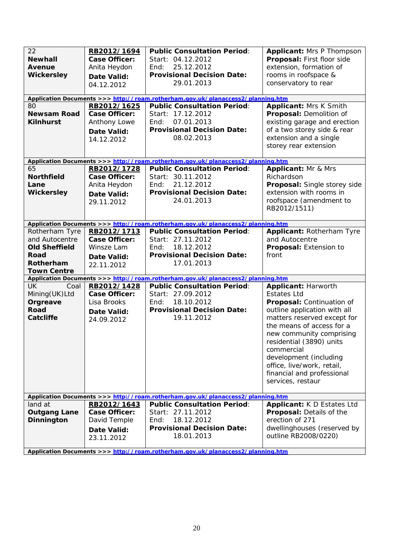| 22<br><b>Newhall</b><br>Avenue<br><b>Wickersley</b><br>80<br><b>Newsam Road</b><br><b>Kilnhurst</b> | RB2012/1694<br><b>Case Officer:</b><br>Anita Heydon<br><b>Date Valid:</b><br>04.12.2012<br>RB2012/1625<br><b>Case Officer:</b><br>Anthony Lowe<br>Date Valid:<br>14.12.2012 | <b>Public Consultation Period:</b><br>Start: 04.12.2012<br>End:<br>25.12.2012<br><b>Provisional Decision Date:</b><br>29.01.2013<br>Application Documents >>> http://roam.rotherham.gov.uk/planaccess2/planning.htm<br><b>Public Consultation Period:</b><br>Start: 17.12.2012<br>07.01.2013<br>End:<br><b>Provisional Decision Date:</b><br>08.02.2013 | <b>Applicant: Mrs P Thompson</b><br>Proposal: First floor side<br>extension, formation of<br>rooms in roofspace &<br>conservatory to rear<br>Applicant: Mrs K Smith<br>Proposal: Demolition of<br>existing garage and erection<br>of a two storey side & rear<br>extension and a single                                                                    |
|-----------------------------------------------------------------------------------------------------|-----------------------------------------------------------------------------------------------------------------------------------------------------------------------------|---------------------------------------------------------------------------------------------------------------------------------------------------------------------------------------------------------------------------------------------------------------------------------------------------------------------------------------------------------|------------------------------------------------------------------------------------------------------------------------------------------------------------------------------------------------------------------------------------------------------------------------------------------------------------------------------------------------------------|
|                                                                                                     |                                                                                                                                                                             |                                                                                                                                                                                                                                                                                                                                                         | storey rear extension                                                                                                                                                                                                                                                                                                                                      |
|                                                                                                     |                                                                                                                                                                             | Application Documents >>> http://roam.rotherham.gov.uk/planaccess2/planning.htm                                                                                                                                                                                                                                                                         |                                                                                                                                                                                                                                                                                                                                                            |
| 65<br><b>Northfield</b><br>Lane<br><b>Wickersley</b>                                                | RB2012/1728<br><b>Case Officer:</b><br>Anita Heydon<br><b>Date Valid:</b><br>29.11.2012                                                                                     | <b>Public Consultation Period:</b><br>Start: 30.11.2012<br>21.12.2012<br>Find:<br><b>Provisional Decision Date:</b><br>24.01.2013                                                                                                                                                                                                                       | <b>Applicant: Mr &amp; Mrs</b><br>Richardson<br>Proposal: Single storey side<br>extension with rooms in<br>roofspace (amendment to<br>RB2012/1511)                                                                                                                                                                                                         |
|                                                                                                     |                                                                                                                                                                             | Application Documents >>> http://roam.rotherham.gov.uk/planaccess2/planning.htm                                                                                                                                                                                                                                                                         |                                                                                                                                                                                                                                                                                                                                                            |
| Rotherham Tyre<br>and Autocentre<br><b>Old Sheffield</b><br>Road<br>Rotherham<br><b>Town Centre</b> | RB2012/1713<br><b>Case Officer:</b><br>Winsze Lam<br>Date Valid:<br>22.11.2012                                                                                              | <b>Public Consultation Period:</b><br>Start: 27.11.2012<br>18.12.2012<br>End:<br><b>Provisional Decision Date:</b><br>17.01.2013                                                                                                                                                                                                                        | Applicant: Rotherham Tyre<br>and Autocentre<br>Proposal: Extension to<br>front                                                                                                                                                                                                                                                                             |
|                                                                                                     |                                                                                                                                                                             | Application Documents >>> http://roam.rotherham.gov.uk/planaccess2/planning.htm                                                                                                                                                                                                                                                                         |                                                                                                                                                                                                                                                                                                                                                            |
| UK.<br>Coal<br>Mining(UK)Ltd<br>Orgreave<br><b>Road</b><br>Catcliffe                                | RB2012/1428<br><b>Case Officer:</b><br>Lisa Brooks<br>Date Valid:<br>24.09.2012                                                                                             | <b>Public Consultation Period:</b><br>Start: 27.09.2012<br>18.10.2012<br>End:<br><b>Provisional Decision Date:</b><br>19.11.2012                                                                                                                                                                                                                        | <b>Applicant: Harworth</b><br><b>Estates Ltd</b><br>Proposal: Continuation of<br>outline application with all<br>matters reserved except for<br>the means of access for a<br>new community comprising<br>residential (3890) units<br>commercial<br>development (including<br>office, live/work, retail,<br>financial and professional<br>services, restaur |
| land at                                                                                             | RB2012/1643                                                                                                                                                                 | Application Documents >>> http://roam.rotherham.gov.uk/planaccess2/planning.htm<br><b>Public Consultation Period:</b>                                                                                                                                                                                                                                   | Applicant: K D Estates Ltd                                                                                                                                                                                                                                                                                                                                 |
| <b>Outgang Lane</b><br><b>Dinnington</b>                                                            | Case Officer:<br>David Temple<br>Date Valid:<br>23.11.2012                                                                                                                  | Start: 27.11.2012<br>18.12.2012<br>End:<br><b>Provisional Decision Date:</b><br>18.01.2013<br>Application Documents >>> http://roam.rotherham.gov.uk/planaccess2/planning.htm                                                                                                                                                                           | Proposal: Details of the<br>erection of 271<br>dwellinghouses (reserved by<br>outline RB2008/0220)                                                                                                                                                                                                                                                         |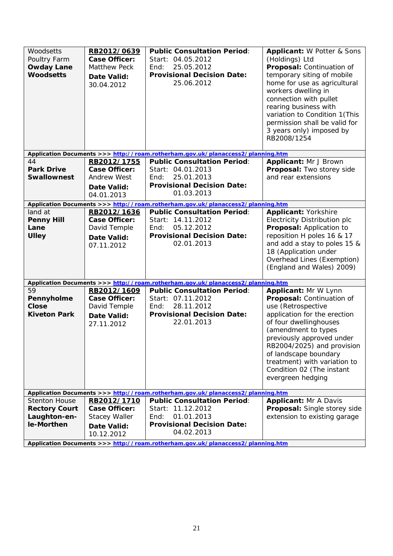| Woodsetts<br>Poultry Farm<br><b>Owday Lane</b><br><b>Woodsetts</b> | RB2012/0639<br><b>Case Officer:</b><br><b>Matthew Peck</b><br>Date Valid:<br>30.04.2012 | <b>Public Consultation Period:</b><br>Start: 04.05.2012<br>25.05.2012<br>End:<br><b>Provisional Decision Date:</b><br>25.06.2012 | <b>Applicant: W Potter &amp; Sons</b><br>(Holdings) Ltd<br>Proposal: Continuation of<br>temporary siting of mobile<br>home for use as agricultural<br>workers dwelling in<br>connection with pullet<br>rearing business with<br>variation to Condition 1 (This<br>permission shall be valid for<br>3 years only) imposed by<br>RB2008/1254 |
|--------------------------------------------------------------------|-----------------------------------------------------------------------------------------|----------------------------------------------------------------------------------------------------------------------------------|--------------------------------------------------------------------------------------------------------------------------------------------------------------------------------------------------------------------------------------------------------------------------------------------------------------------------------------------|
|                                                                    |                                                                                         | Application Documents >>> http://roam.rotherham.gov.uk/planaccess2/planning.htm                                                  |                                                                                                                                                                                                                                                                                                                                            |
| 44                                                                 | RB2012/1755                                                                             | <b>Public Consultation Period:</b>                                                                                               | Applicant: Mr J Brown                                                                                                                                                                                                                                                                                                                      |
| <b>Park Drive</b>                                                  | <b>Case Officer:</b>                                                                    | Start: 04.01.2013                                                                                                                | Proposal: Two storey side                                                                                                                                                                                                                                                                                                                  |
| <b>Swallownest</b>                                                 | <b>Andrew West</b>                                                                      | 25.01.2013<br>End:<br><b>Provisional Decision Date:</b>                                                                          | and rear extensions                                                                                                                                                                                                                                                                                                                        |
|                                                                    | Date Valid:                                                                             | 01.03.2013                                                                                                                       |                                                                                                                                                                                                                                                                                                                                            |
|                                                                    | 04.01.2013                                                                              |                                                                                                                                  |                                                                                                                                                                                                                                                                                                                                            |
|                                                                    |                                                                                         | Application Documents >>> http://roam.rotherham.gov.uk/planaccess2/planning.htm                                                  |                                                                                                                                                                                                                                                                                                                                            |
| land at                                                            | RB2012/1636                                                                             | <b>Public Consultation Period:</b>                                                                                               | <b>Applicant: Yorkshire</b>                                                                                                                                                                                                                                                                                                                |
| <b>Penny Hill</b><br>Lane                                          | <b>Case Officer:</b><br>David Temple                                                    | Start: 14.11.2012<br>05.12.2012<br>End:                                                                                          | Electricity Distribution plc<br>Proposal: Application to                                                                                                                                                                                                                                                                                   |
| <b>Ulley</b>                                                       |                                                                                         | <b>Provisional Decision Date:</b>                                                                                                | reposition H poles 16 & 17                                                                                                                                                                                                                                                                                                                 |
|                                                                    | Date Valid:<br>07.11.2012                                                               | 02.01.2013                                                                                                                       | and add a stay to poles 15 &                                                                                                                                                                                                                                                                                                               |
|                                                                    |                                                                                         |                                                                                                                                  | 18 (Application under                                                                                                                                                                                                                                                                                                                      |
|                                                                    |                                                                                         |                                                                                                                                  | Overhead Lines (Exemption)                                                                                                                                                                                                                                                                                                                 |
|                                                                    |                                                                                         |                                                                                                                                  | (England and Wales) 2009)                                                                                                                                                                                                                                                                                                                  |
|                                                                    |                                                                                         | Application Documents >>> http://roam.rotherham.gov.uk/planaccess2/planning.htm                                                  |                                                                                                                                                                                                                                                                                                                                            |
| 59                                                                 | RB2012/1609                                                                             | <b>Public Consultation Period:</b>                                                                                               | Applicant: Mr W Lynn                                                                                                                                                                                                                                                                                                                       |
| Pennyholme                                                         | <b>Case Officer:</b>                                                                    | Start: 07.11.2012                                                                                                                | Proposal: Continuation of                                                                                                                                                                                                                                                                                                                  |
| <b>Close</b>                                                       | David Temple                                                                            | 28.11.2012<br>End:                                                                                                               | use (Retrospective                                                                                                                                                                                                                                                                                                                         |
| <b>Kiveton Park</b>                                                | <b>Date Valid:</b>                                                                      | <b>Provisional Decision Date:</b>                                                                                                | application for the erection                                                                                                                                                                                                                                                                                                               |
|                                                                    | 27.11.2012                                                                              | 22.01.2013                                                                                                                       | of four dwellinghouses                                                                                                                                                                                                                                                                                                                     |
|                                                                    |                                                                                         |                                                                                                                                  | (amendment to types                                                                                                                                                                                                                                                                                                                        |
|                                                                    |                                                                                         |                                                                                                                                  | previously approved under                                                                                                                                                                                                                                                                                                                  |
|                                                                    |                                                                                         |                                                                                                                                  | RB2004/2025) and provision                                                                                                                                                                                                                                                                                                                 |
|                                                                    |                                                                                         |                                                                                                                                  | of landscape boundary                                                                                                                                                                                                                                                                                                                      |
|                                                                    |                                                                                         |                                                                                                                                  | treatment) with variation to                                                                                                                                                                                                                                                                                                               |
|                                                                    |                                                                                         |                                                                                                                                  | Condition 02 (The instant                                                                                                                                                                                                                                                                                                                  |
|                                                                    |                                                                                         |                                                                                                                                  | evergreen hedging                                                                                                                                                                                                                                                                                                                          |
|                                                                    |                                                                                         | Application Documents >>> http://roam.rotherham.gov.uk/planaccess2/planning.htm                                                  |                                                                                                                                                                                                                                                                                                                                            |
| <b>Stenton House</b>                                               | RB2012/1710                                                                             | <b>Public Consultation Period:</b>                                                                                               | <b>Applicant: Mr A Davis</b>                                                                                                                                                                                                                                                                                                               |
| <b>Rectory Court</b>                                               | <b>Case Officer:</b>                                                                    | Start: 11.12.2012                                                                                                                | Proposal: Single storey side                                                                                                                                                                                                                                                                                                               |
| Laughton-en-                                                       | <b>Stacey Waller</b>                                                                    | 01.01.2013<br>End:                                                                                                               | extension to existing garage                                                                                                                                                                                                                                                                                                               |
| le-Morthen                                                         | Date Valid:                                                                             | <b>Provisional Decision Date:</b>                                                                                                |                                                                                                                                                                                                                                                                                                                                            |
|                                                                    | 10.12.2012                                                                              | 04.02.2013                                                                                                                       |                                                                                                                                                                                                                                                                                                                                            |
|                                                                    |                                                                                         | Application Documents >>> http://roam.rotherham.gov.uk/planaccess2/planning.htm                                                  |                                                                                                                                                                                                                                                                                                                                            |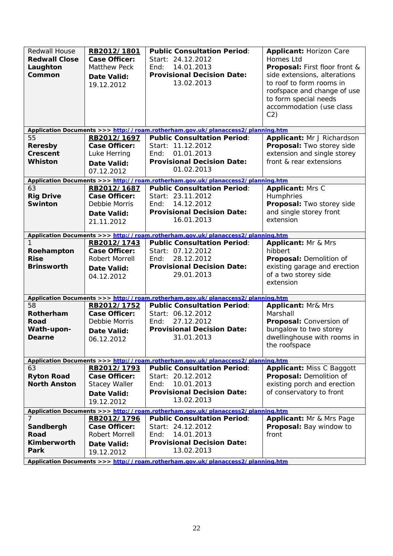| <b>Redwall House</b><br><b>Redwall Close</b><br>Laughton<br>Common | RB2012/1801<br><b>Case Officer:</b><br><b>Matthew Peck</b><br>Date Valid:<br>19.12.2012 | <b>Public Consultation Period:</b><br>Start: 24.12.2012<br>14.01.2013<br>End:<br><b>Provisional Decision Date:</b><br>13.02.2013 | <b>Applicant: Horizon Care</b><br><b>Homes Ltd</b><br><b>Proposal:</b> First floor front &<br>side extensions, alterations<br>to roof to form rooms in<br>roofspace and change of use<br>to form special needs<br>accommodation (use class<br>C2) |
|--------------------------------------------------------------------|-----------------------------------------------------------------------------------------|----------------------------------------------------------------------------------------------------------------------------------|---------------------------------------------------------------------------------------------------------------------------------------------------------------------------------------------------------------------------------------------------|
|                                                                    |                                                                                         | Application Documents >>> http://roam.rotherham.gov.uk/planaccess2/planning.htm                                                  |                                                                                                                                                                                                                                                   |
| 55                                                                 | RB2012/1697                                                                             | <b>Public Consultation Period:</b>                                                                                               | Applicant: Mr J Richardson                                                                                                                                                                                                                        |
| <b>Reresby</b>                                                     | Case Officer:                                                                           | Start: 11.12.2012                                                                                                                | Proposal: Two storey side                                                                                                                                                                                                                         |
| Crescent                                                           | Luke Herring                                                                            | 01.01.2013<br>End:                                                                                                               | extension and single storey                                                                                                                                                                                                                       |
| <b>Whiston</b>                                                     | Date Valid:                                                                             | <b>Provisional Decision Date:</b>                                                                                                | front & rear extensions                                                                                                                                                                                                                           |
|                                                                    | 07.12.2012                                                                              | 01.02.2013                                                                                                                       |                                                                                                                                                                                                                                                   |
|                                                                    |                                                                                         | Application Documents >>> http://roam.rotherham.gov.uk/planaccess2/planning.htm                                                  |                                                                                                                                                                                                                                                   |
| 63                                                                 | RB2012/1687                                                                             | <b>Public Consultation Period:</b>                                                                                               | Applicant: Mrs C                                                                                                                                                                                                                                  |
| <b>Rig Drive</b>                                                   | Case Officer:                                                                           | Start: 23.11.2012                                                                                                                | Humphries                                                                                                                                                                                                                                         |
| <b>Swinton</b>                                                     | Debbie Morris                                                                           | 14.12.2012<br>End:                                                                                                               | Proposal: Two storey side                                                                                                                                                                                                                         |
|                                                                    | <b>Date Valid:</b>                                                                      | <b>Provisional Decision Date:</b>                                                                                                | and single storey front                                                                                                                                                                                                                           |
|                                                                    | 21.11.2012                                                                              | 16.01.2013                                                                                                                       | extension                                                                                                                                                                                                                                         |
|                                                                    |                                                                                         |                                                                                                                                  |                                                                                                                                                                                                                                                   |
|                                                                    |                                                                                         | Application Documents >>> http://roam.rotherham.gov.uk/planaccess2/planning.htm                                                  |                                                                                                                                                                                                                                                   |
| 1                                                                  | RB2012/1743                                                                             | <b>Public Consultation Period:</b>                                                                                               | <b>Applicant: Mr &amp; Mrs</b>                                                                                                                                                                                                                    |
| Roehampton                                                         | <b>Case Officer:</b>                                                                    | Start: 07.12.2012                                                                                                                | hibbert                                                                                                                                                                                                                                           |
| <b>Rise</b>                                                        | Robert Morrell                                                                          | 28.12.2012<br>End:                                                                                                               | Proposal: Demolition of                                                                                                                                                                                                                           |
| <b>Brinsworth</b>                                                  | Date Valid:                                                                             | <b>Provisional Decision Date:</b>                                                                                                | existing garage and erection                                                                                                                                                                                                                      |
|                                                                    | 04.12.2012                                                                              | 29.01.2013                                                                                                                       | of a two storey side                                                                                                                                                                                                                              |
|                                                                    |                                                                                         |                                                                                                                                  | extension                                                                                                                                                                                                                                         |
|                                                                    |                                                                                         |                                                                                                                                  |                                                                                                                                                                                                                                                   |
| 58                                                                 | RB2012/1752                                                                             | Application Documents >>> http://roam.rotherham.gov.uk/planaccess2/planning.htm<br><b>Public Consultation Period:</b>            |                                                                                                                                                                                                                                                   |
| Rotherham                                                          | <b>Case Officer:</b>                                                                    | Start: 06.12.2012                                                                                                                | <b>Applicant: Mr&amp; Mrs</b><br>Marshall                                                                                                                                                                                                         |
| Road                                                               | Debbie Morris                                                                           | 27.12.2012<br>End:                                                                                                               | Proposal: Conversion of                                                                                                                                                                                                                           |
| Wath-upon-                                                         |                                                                                         | <b>Provisional Decision Date:</b>                                                                                                | bungalow to two storey                                                                                                                                                                                                                            |
| Dearne                                                             | Date Valid:                                                                             | 31.01.2013                                                                                                                       | dwellinghouse with rooms in                                                                                                                                                                                                                       |
|                                                                    | 06.12.2012                                                                              |                                                                                                                                  | the roofspace                                                                                                                                                                                                                                     |
|                                                                    |                                                                                         |                                                                                                                                  |                                                                                                                                                                                                                                                   |
|                                                                    |                                                                                         | Application Documents >>> http://roam.rotherham.gov.uk/planaccess2/planning.htm                                                  |                                                                                                                                                                                                                                                   |
| 63                                                                 | RB2012/1793                                                                             | <b>Public Consultation Period:</b>                                                                                               | <b>Applicant: Miss C Baggott</b>                                                                                                                                                                                                                  |
| <b>Ryton Road</b>                                                  | <b>Case Officer:</b>                                                                    | Start: 20.12.2012                                                                                                                | Proposal: Demolition of                                                                                                                                                                                                                           |
| <b>North Anston</b>                                                | <b>Stacey Waller</b>                                                                    | 10.01.2013<br>End:                                                                                                               | existing porch and erection                                                                                                                                                                                                                       |
|                                                                    | Date Valid:                                                                             | <b>Provisional Decision Date:</b>                                                                                                | of conservatory to front                                                                                                                                                                                                                          |
|                                                                    | 19.12.2012                                                                              | 13.02.2013                                                                                                                       |                                                                                                                                                                                                                                                   |
|                                                                    |                                                                                         | Application Documents >>> http://roam.rotherham.gov.uk/planaccess2/planning.htm                                                  |                                                                                                                                                                                                                                                   |
| 7                                                                  | RB2012/1796                                                                             | <b>Public Consultation Period:</b>                                                                                               | Applicant: Mr & Mrs Page                                                                                                                                                                                                                          |
| Sandbergh                                                          | Case Officer:                                                                           | Start: 24.12.2012                                                                                                                | Proposal: Bay window to                                                                                                                                                                                                                           |
| Road                                                               | Robert Morrell                                                                          | 14.01.2013<br>End:                                                                                                               | front                                                                                                                                                                                                                                             |
| Kimberworth                                                        | Date Valid:                                                                             | <b>Provisional Decision Date:</b>                                                                                                |                                                                                                                                                                                                                                                   |
| Park                                                               | 19.12.2012                                                                              | 13.02.2013                                                                                                                       |                                                                                                                                                                                                                                                   |
|                                                                    |                                                                                         | Application Documents >>> http://roam.rotherham.gov.uk/planaccess2/planning.htm                                                  |                                                                                                                                                                                                                                                   |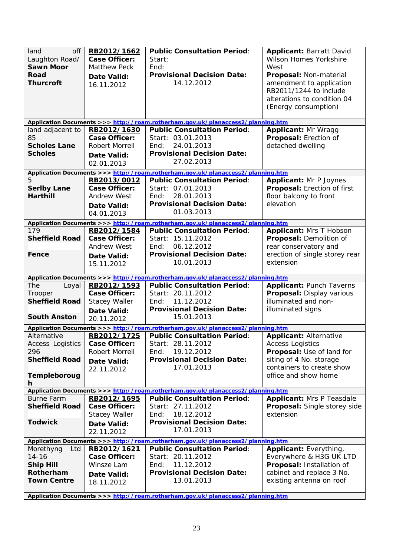| land<br>off<br>Laughton Road/<br><b>Sawn Moor</b><br>Road<br><b>Thurcroft</b> | RB2012/1662<br><b>Case Officer:</b><br><b>Matthew Peck</b><br>Date Valid:<br>16.11.2012 | <b>Public Consultation Period:</b><br>Start:<br>End:<br><b>Provisional Decision Date:</b><br>14.12.2012               | <b>Applicant: Barratt David</b><br>Wilson Homes Yorkshire<br>West<br>Proposal: Non-material<br>amendment to application<br>RB2011/1244 to include<br>alterations to condition 04<br>(Energy consumption) |
|-------------------------------------------------------------------------------|-----------------------------------------------------------------------------------------|-----------------------------------------------------------------------------------------------------------------------|----------------------------------------------------------------------------------------------------------------------------------------------------------------------------------------------------------|
|                                                                               |                                                                                         | Application Documents >>> http://roam.rotherham.gov.uk/planaccess2/planning.htm                                       |                                                                                                                                                                                                          |
| land adjacent to                                                              | RB2012/1630                                                                             | <b>Public Consultation Period:</b>                                                                                    | <b>Applicant: Mr Wragg</b>                                                                                                                                                                               |
| 85                                                                            | <b>Case Officer:</b>                                                                    | Start: 03.01.2013                                                                                                     | Proposal: Erection of                                                                                                                                                                                    |
| <b>Scholes Lane</b>                                                           | <b>Robert Morrell</b>                                                                   | 24.01.2013<br>End:                                                                                                    | detached dwelling                                                                                                                                                                                        |
| <b>Scholes</b>                                                                | Date Valid:                                                                             | <b>Provisional Decision Date:</b>                                                                                     |                                                                                                                                                                                                          |
|                                                                               | 02.01.2013                                                                              | 27.02.2013                                                                                                            |                                                                                                                                                                                                          |
|                                                                               |                                                                                         | Application Documents >>> http://roam.rotherham.gov.uk/planaccess2/planning.htm                                       |                                                                                                                                                                                                          |
| 5                                                                             | RB2013/0012                                                                             | <b>Public Consultation Period:</b>                                                                                    | <b>Applicant: Mr P Joynes</b>                                                                                                                                                                            |
| <b>Serlby Lane</b>                                                            | <b>Case Officer:</b>                                                                    | Start: 07.01.2013                                                                                                     | Proposal: Erection of first                                                                                                                                                                              |
| <b>Harthill</b>                                                               | <b>Andrew West</b>                                                                      | 28.01.2013<br>End:                                                                                                    | floor balcony to front                                                                                                                                                                                   |
|                                                                               | Date Valid:                                                                             | <b>Provisional Decision Date:</b>                                                                                     | elevation                                                                                                                                                                                                |
|                                                                               | 04.01.2013                                                                              | 01.03.2013                                                                                                            |                                                                                                                                                                                                          |
|                                                                               |                                                                                         | Application Documents >>> http://roam.rotherham.gov.uk/planaccess2/planning.htm                                       |                                                                                                                                                                                                          |
| 179                                                                           | RB2012/1584                                                                             | <b>Public Consultation Period:</b>                                                                                    | <b>Applicant: Mrs T Hobson</b>                                                                                                                                                                           |
| <b>Sheffield Road</b>                                                         | <b>Case Officer:</b>                                                                    | Start: 15.11.2012                                                                                                     | Proposal: Demolition of                                                                                                                                                                                  |
|                                                                               | <b>Andrew West</b>                                                                      | 06.12.2012<br>End:                                                                                                    | rear conservatory and                                                                                                                                                                                    |
| Fence                                                                         | <b>Date Valid:</b>                                                                      | <b>Provisional Decision Date:</b>                                                                                     | erection of single storey rear                                                                                                                                                                           |
|                                                                               | 15.11.2012                                                                              | 10.01.2013                                                                                                            | extension                                                                                                                                                                                                |
|                                                                               |                                                                                         |                                                                                                                       |                                                                                                                                                                                                          |
|                                                                               |                                                                                         | Application Documents >>> http://roam.rotherham.gov.uk/planaccess2/planning.htm                                       |                                                                                                                                                                                                          |
|                                                                               |                                                                                         |                                                                                                                       |                                                                                                                                                                                                          |
| <b>The</b><br>Loyal                                                           | RB2012/1593                                                                             | <b>Public Consultation Period:</b>                                                                                    | <b>Applicant: Punch Taverns</b>                                                                                                                                                                          |
| Trooper                                                                       | <b>Case Officer:</b>                                                                    | Start: 20.11.2012                                                                                                     | Proposal: Display various                                                                                                                                                                                |
| <b>Sheffield Road</b>                                                         | <b>Stacey Waller</b>                                                                    | 11.12.2012<br>End:                                                                                                    | illuminated and non-                                                                                                                                                                                     |
|                                                                               | <b>Date Valid:</b>                                                                      | <b>Provisional Decision Date:</b>                                                                                     | illuminated signs                                                                                                                                                                                        |
| <b>South Anston</b>                                                           | 20.11.2012                                                                              | 15.01.2013                                                                                                            |                                                                                                                                                                                                          |
|                                                                               |                                                                                         |                                                                                                                       |                                                                                                                                                                                                          |
| Alternative                                                                   | RB2012/1725                                                                             | Application Documents >>> http://roam.rotherham.gov.uk/planaccess2/planning.htm<br><b>Public Consultation Period:</b> | <b>Applicant: Alternative</b>                                                                                                                                                                            |
| <b>Access Logistics</b>                                                       | <b>Case Officer:</b>                                                                    | Start: 28.11.2012                                                                                                     | <b>Access Logistics</b>                                                                                                                                                                                  |
| 296                                                                           | Robert Morrell                                                                          | 19.12.2012<br>End:                                                                                                    | Proposal: Use of land for                                                                                                                                                                                |
| <b>Sheffield Road</b>                                                         | Date Valid:                                                                             | <b>Provisional Decision Date:</b>                                                                                     | siting of 4 No. storage                                                                                                                                                                                  |
|                                                                               | 22.11.2012                                                                              | 17.01.2013                                                                                                            | containers to create show                                                                                                                                                                                |
| Templeboroug                                                                  |                                                                                         |                                                                                                                       | office and show home                                                                                                                                                                                     |
| h                                                                             |                                                                                         |                                                                                                                       |                                                                                                                                                                                                          |
|                                                                               |                                                                                         | Application Documents >>> http://roam.rotherham.gov.uk/planaccess2/planning.htm                                       |                                                                                                                                                                                                          |
| <b>Burne Farm</b>                                                             | RB2012/1695                                                                             | <b>Public Consultation Period:</b>                                                                                    | <b>Applicant: Mrs P Teasdale</b>                                                                                                                                                                         |
| <b>Sheffield Road</b>                                                         | Case Officer:                                                                           | Start: 27.11.2012                                                                                                     | <b>Proposal:</b> Single storey side                                                                                                                                                                      |
|                                                                               | <b>Stacey Waller</b>                                                                    | 18.12.2012<br>End:                                                                                                    | extension                                                                                                                                                                                                |
| <b>Todwick</b>                                                                | Date Valid:                                                                             | <b>Provisional Decision Date:</b>                                                                                     |                                                                                                                                                                                                          |
|                                                                               | 22.11.2012                                                                              | 17.01.2013                                                                                                            |                                                                                                                                                                                                          |
|                                                                               |                                                                                         | Application Documents >>> http://roam.rotherham.gov.uk/planaccess2/planning.htm                                       |                                                                                                                                                                                                          |
| Morethyng<br>Ltd                                                              | RB2012/1621                                                                             | <b>Public Consultation Period:</b>                                                                                    | Applicant: Everything,                                                                                                                                                                                   |
| $14 - 16$                                                                     | Case Officer:                                                                           | Start: 20.11.2012                                                                                                     | Everywhere & H3G UK LTD                                                                                                                                                                                  |
| <b>Ship Hill</b>                                                              | Winsze Lam                                                                              | 11.12.2012<br>End:                                                                                                    | Proposal: Installation of                                                                                                                                                                                |
| Rotherham                                                                     | Date Valid:                                                                             | <b>Provisional Decision Date:</b>                                                                                     | cabinet and replace 3 No.                                                                                                                                                                                |
| <b>Town Centre</b>                                                            | 18.11.2012                                                                              | 13.01.2013                                                                                                            | existing antenna on roof                                                                                                                                                                                 |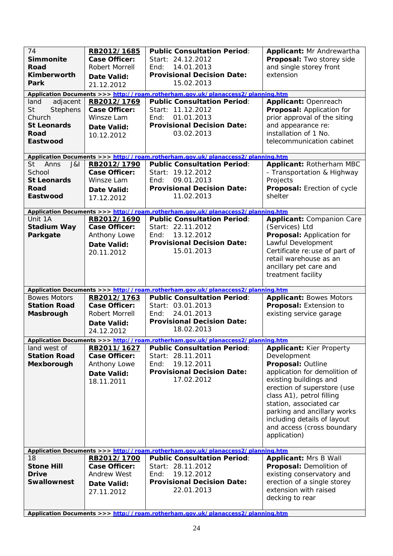| 74<br><b>Simmonite</b><br>Road<br>Kimberworth<br>Park                                                | RB2012/1685<br><b>Case Officer:</b><br>Robert Morrell<br><b>Date Valid:</b><br>21.12.2012 | <b>Public Consultation Period:</b><br>Start: 24.12.2012<br>14.01.2013<br>End:<br><b>Provisional Decision Date:</b><br>15.02.2013<br>Application Documents >>> http://roam.rotherham.gov.uk/planaccess2/planning.htm | Applicant: Mr Andrewartha<br>Proposal: Two storey side<br>and single storey front<br>extension                                                                                                                                                                                                                                    |
|------------------------------------------------------------------------------------------------------|-------------------------------------------------------------------------------------------|---------------------------------------------------------------------------------------------------------------------------------------------------------------------------------------------------------------------|-----------------------------------------------------------------------------------------------------------------------------------------------------------------------------------------------------------------------------------------------------------------------------------------------------------------------------------|
| adjacent<br>land<br><b>St</b><br>Stephens<br>Church<br><b>St Leonards</b><br><b>Road</b><br>Eastwood | RB2012/1769<br>Case Officer:<br>Winsze Lam<br><b>Date Valid:</b><br>10.12.2012            | <b>Public Consultation Period:</b><br>Start: 11.12.2012<br>01.01.2013<br>End:<br><b>Provisional Decision Date:</b><br>03.02.2013                                                                                    | Applicant: Openreach<br>Proposal: Application for<br>prior approval of the siting<br>and appearance re:<br>installation of 1 No.<br>telecommunication cabinet                                                                                                                                                                     |
|                                                                                                      |                                                                                           | Application Documents >>> http://roam.rotherham.gov.uk/planaccess2/planning.htm                                                                                                                                     |                                                                                                                                                                                                                                                                                                                                   |
| <b>St</b><br>Anns<br>J&I<br>School<br><b>St Leonards</b><br>Road<br>Eastwood                         | RB2012/1790<br><b>Case Officer:</b><br>Winsze Lam<br>Date Valid:<br>17.12.2012            | <b>Public Consultation Period:</b><br>Start: 19.12.2012<br>09.01.2013<br>End:<br><b>Provisional Decision Date:</b><br>11.02.2013                                                                                    | Applicant: Rotherham MBC<br>- Transportation & Highway<br>Projects<br>Proposal: Erection of cycle<br>shelter                                                                                                                                                                                                                      |
|                                                                                                      |                                                                                           | Application Documents >>> http://roam.rotherham.gov.uk/planaccess2/planning.htm                                                                                                                                     |                                                                                                                                                                                                                                                                                                                                   |
| Unit 1A<br><b>Stadium Way</b><br>Parkgate                                                            | RB2012/1690<br><b>Case Officer:</b><br>Anthony Lowe<br><b>Date Valid:</b><br>20.11.2012   | <b>Public Consultation Period:</b><br>Start: 22.11.2012<br>13.12.2012<br>End:<br><b>Provisional Decision Date:</b><br>15.01.2013                                                                                    | <b>Applicant: Companion Care</b><br>(Services) Ltd<br>Proposal: Application for<br>Lawful Development<br>Certificate re: use of part of<br>retail warehouse as an<br>ancillary pet care and<br>treatment facility                                                                                                                 |
|                                                                                                      |                                                                                           | Application Documents >>> http://roam.rotherham.gov.uk/planaccess2/planning.htm                                                                                                                                     |                                                                                                                                                                                                                                                                                                                                   |
| <b>Bowes Motors</b><br><b>Station Road</b><br>Masbrough                                              | RB2012/1763<br><b>Case Officer:</b><br><b>Robert Morrell</b><br>Date Valid:<br>24.12.2012 | <b>Public Consultation Period:</b><br>Start: 03.01.2013<br>24.01.2013<br>End:<br><b>Provisional Decision Date:</b><br>18.02.2013                                                                                    | <b>Applicant: Bowes Motors</b><br>Proposal: Extension to<br>existing service garage                                                                                                                                                                                                                                               |
|                                                                                                      |                                                                                           | Application Documents >>> http://roam.rotherham.gov.uk/planaccess2/planning.htm                                                                                                                                     |                                                                                                                                                                                                                                                                                                                                   |
| land west of<br><b>Station Road</b><br>Mexborough                                                    | RB2011/1627<br><b>Case Officer:</b><br>Anthony Lowe<br>Date Valid:<br>18.11.2011          | <b>Public Consultation Period:</b><br>Start: 28.11.2011<br>19.12.2011<br>End:<br><b>Provisional Decision Date:</b><br>17.02.2012<br>Application Documents >>> http://roam.rotherham.gov.uk/planaccess2/planning.htm | <b>Applicant: Kier Property</b><br>Development<br>Proposal: Outline<br>application for demolition of<br>existing buildings and<br>erection of superstore (use<br>class A1), petrol filling<br>station, associated car<br>parking and ancillary works<br>including details of layout<br>and access (cross boundary<br>application) |
| 18                                                                                                   | RB2012/1700                                                                               | <b>Public Consultation Period:</b>                                                                                                                                                                                  | <b>Applicant: Mrs B Wall</b>                                                                                                                                                                                                                                                                                                      |
| <b>Stone Hill</b><br><b>Drive</b><br><b>Swallownest</b>                                              | <b>Case Officer:</b><br><b>Andrew West</b><br>Date Valid:<br>27.11.2012                   | Start: 28.11.2012<br>19.12.2012<br>End:<br><b>Provisional Decision Date:</b><br>22.01.2013<br>Application Documents >>> http://roam.rotherham.gov.uk/planaccess2/planning.htm                                       | Proposal: Demolition of<br>existing conservatory and<br>erection of a single storey<br>extension with raised<br>decking to rear                                                                                                                                                                                                   |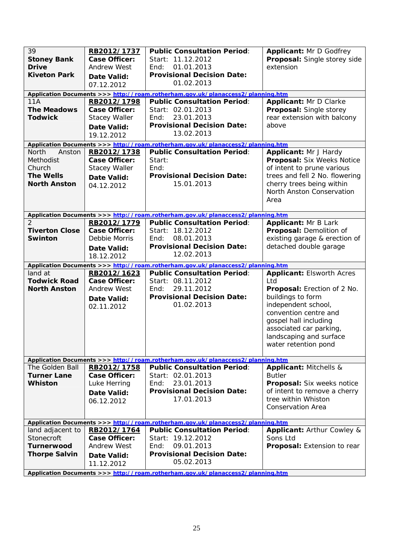| 39<br><b>Stoney Bank</b><br><b>Drive</b><br><b>Kiveton Park</b><br><b>11A</b><br><b>The Meadows</b><br><b>Todwick</b> | RB2012/1737<br><b>Case Officer:</b><br><b>Andrew West</b><br>Date Valid:<br>07.12.2012<br>RB2012/1798<br><b>Case Officer:</b><br><b>Stacey Waller</b><br><b>Date Valid:</b><br>19.12.2012 | <b>Public Consultation Period:</b><br>Start: 11.12.2012<br>01.01.2013<br>End:<br><b>Provisional Decision Date:</b><br>01.02.2013<br>Application Documents >>> http://roam.rotherham.gov.uk/planaccess2/planning.htm<br><b>Public Consultation Period:</b><br>Start: 02.01.2013<br>23.01.2013<br>End:<br><b>Provisional Decision Date:</b><br>13.02.2013 | <b>Applicant: Mr D Godfrey</b><br>Proposal: Single storey side<br>extension<br>Applicant: Mr D Clarke<br>Proposal: Single storey<br>rear extension with balcony<br>above                                                                           |
|-----------------------------------------------------------------------------------------------------------------------|-------------------------------------------------------------------------------------------------------------------------------------------------------------------------------------------|---------------------------------------------------------------------------------------------------------------------------------------------------------------------------------------------------------------------------------------------------------------------------------------------------------------------------------------------------------|----------------------------------------------------------------------------------------------------------------------------------------------------------------------------------------------------------------------------------------------------|
| North<br>Anston                                                                                                       | RB2012/1738                                                                                                                                                                               | Application Documents >>> http://roam.rotherham.gov.uk/planaccess2/planning.htm<br><b>Public Consultation Period:</b>                                                                                                                                                                                                                                   | Applicant: Mr J Hardy                                                                                                                                                                                                                              |
| Methodist<br>Church<br><b>The Wells</b><br><b>North Anston</b>                                                        | <b>Case Officer:</b><br><b>Stacey Waller</b><br><b>Date Valid:</b><br>04.12.2012                                                                                                          | Start:<br>End:<br><b>Provisional Decision Date:</b><br>15.01.2013                                                                                                                                                                                                                                                                                       | Proposal: Six Weeks Notice<br>of intent to prune various<br>trees and fell 2 No. flowering<br>cherry trees being within<br>North Anston Conservation<br>Area                                                                                       |
|                                                                                                                       |                                                                                                                                                                                           | Application Documents >>> http://roam.rotherham.gov.uk/planaccess2/planning.htm                                                                                                                                                                                                                                                                         |                                                                                                                                                                                                                                                    |
| $\mathcal{P}$<br><b>Tiverton Close</b><br><b>Swinton</b>                                                              | RB2012/1779<br><b>Case Officer:</b><br>Debbie Morris<br><b>Date Valid:</b><br>18.12.2012                                                                                                  | <b>Public Consultation Period:</b><br>Start: 18.12.2012<br>08.01.2013<br>End:<br><b>Provisional Decision Date:</b><br>12.02.2013                                                                                                                                                                                                                        | <b>Applicant: Mr B Lark</b><br>Proposal: Demolition of<br>existing garage & erection of<br>detached double garage                                                                                                                                  |
|                                                                                                                       |                                                                                                                                                                                           | Application Documents >>> http://roam.rotherham.gov.uk/planaccess2/planning.htm                                                                                                                                                                                                                                                                         |                                                                                                                                                                                                                                                    |
| land at<br><b>Todwick Road</b><br><b>North Anston</b>                                                                 | RB2012/1623<br><b>Case Officer:</b><br><b>Andrew West</b><br><b>Date Valid:</b><br>02.11.2012                                                                                             | <b>Public Consultation Period:</b><br>Start: 08.11.2012<br>29.11.2012<br>End:<br><b>Provisional Decision Date:</b><br>01.02.2013                                                                                                                                                                                                                        | <b>Applicant: Elsworth Acres</b><br>Ltd<br>Proposal: Erection of 2 No.<br>buildings to form<br>independent school,<br>convention centre and<br>gospel hall including<br>associated car parking,<br>landscaping and surface<br>water retention pond |
| The Golden Ball                                                                                                       | RB2012/1758                                                                                                                                                                               | Application Documents >>> http://roam.rotherham.gov.uk/planaccess2/planning.htm<br><b>Public Consultation Period:</b>                                                                                                                                                                                                                                   | Applicant: Mitchells &                                                                                                                                                                                                                             |
| <b>Turner Lane</b><br>Whiston                                                                                         | Case Officer:<br>Luke Herring<br>Date Valid:<br>06.12.2012                                                                                                                                | Start: 02.01.2013<br>23.01.2013<br>End:<br><b>Provisional Decision Date:</b><br>17.01.2013                                                                                                                                                                                                                                                              | <b>Butler</b><br>Proposal: Six weeks notice<br>of intent to remove a cherry<br>tree within Whiston<br><b>Conservation Area</b>                                                                                                                     |
|                                                                                                                       |                                                                                                                                                                                           | Application Documents >>> http://roam.rotherham.gov.uk/planaccess2/planning.htm                                                                                                                                                                                                                                                                         |                                                                                                                                                                                                                                                    |
| land adjacent to<br>Stonecroft<br><b>Turnerwood</b><br><b>Thorpe Salvin</b>                                           | RB2012/1764<br>Case Officer:<br>Andrew West<br>Date Valid:<br>11.12.2012                                                                                                                  | <b>Public Consultation Period:</b><br>Start: 19.12.2012<br>09.01.2013<br>End:<br><b>Provisional Decision Date:</b><br>05.02.2013<br>Application Documents >>> http://roam.rotherham.gov.uk/planaccess2/planning.htm                                                                                                                                     | Applicant: Arthur Cowley &<br>Sons Ltd<br><b>Proposal:</b> Extension to rear                                                                                                                                                                       |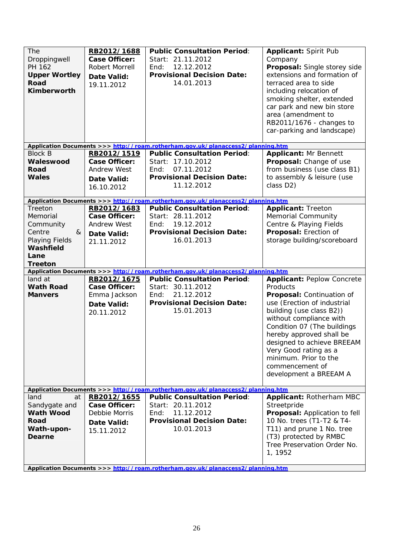| <b>The</b><br>Droppingwell<br>PH 162<br><b>Upper Wortley</b><br>Road<br><b>Kimberworth</b>               | RB2012/1688<br><b>Case Officer:</b><br>Robert Morrell<br>Date Valid:<br>19.11.2012            | <b>Public Consultation Period:</b><br>Start: 21.11.2012<br>12.12.2012<br>End:<br><b>Provisional Decision Date:</b><br>14.01.2013                                                                                    | <b>Applicant: Spirit Pub</b><br>Company<br>Proposal: Single storey side<br>extensions and formation of<br>terraced area to side<br>including relocation of<br>smoking shelter, extended<br>car park and new bin store<br>area (amendment to<br>RB2011/1676 - changes to<br>car-parking and landscape)                                                    |
|----------------------------------------------------------------------------------------------------------|-----------------------------------------------------------------------------------------------|---------------------------------------------------------------------------------------------------------------------------------------------------------------------------------------------------------------------|----------------------------------------------------------------------------------------------------------------------------------------------------------------------------------------------------------------------------------------------------------------------------------------------------------------------------------------------------------|
|                                                                                                          |                                                                                               | Application Documents >>> http://roam.rotherham.gov.uk/planaccess2/planning.htm                                                                                                                                     |                                                                                                                                                                                                                                                                                                                                                          |
| <b>Block B</b><br>Waleswood<br>Road<br><b>Wales</b>                                                      | RB2012/1519<br><b>Case Officer:</b><br><b>Andrew West</b><br>Date Valid:<br>16.10.2012        | <b>Public Consultation Period:</b><br>Start: 17.10.2012<br>07.11.2012<br>End:<br><b>Provisional Decision Date:</b><br>11.12.2012                                                                                    | <b>Applicant: Mr Bennett</b><br>Proposal: Change of use<br>from business (use class B1)<br>to assembly & leisure (use<br>class D2)                                                                                                                                                                                                                       |
|                                                                                                          |                                                                                               | Application Documents >>> http://roam.rotherham.gov.uk/planaccess2/planning.htm                                                                                                                                     |                                                                                                                                                                                                                                                                                                                                                          |
| Treeton<br>Memorial<br>Community<br>Centre<br>&<br>Playing Fields<br>Washfield<br>Lane<br><b>Treeton</b> | RB2012/1683<br><b>Case Officer:</b><br><b>Andrew West</b><br><b>Date Valid:</b><br>21.11.2012 | <b>Public Consultation Period:</b><br>Start: 28.11.2012<br>19.12.2012<br>End:<br><b>Provisional Decision Date:</b><br>16.01.2013<br>Application Documents >>> http://roam.rotherham.gov.uk/planaccess2/planning.htm | <b>Applicant: Treeton</b><br><b>Memorial Community</b><br>Centre & Playing Fields<br>Proposal: Erection of<br>storage building/scoreboard                                                                                                                                                                                                                |
| land at<br><b>Wath Road</b><br><b>Manvers</b>                                                            | RB2012/1675<br><b>Case Officer:</b><br>Emma Jackson<br><b>Date Valid:</b><br>20.11.2012       | <b>Public Consultation Period:</b><br>Start: 30.11.2012<br>21.12.2012<br>End:<br><b>Provisional Decision Date:</b><br>15.01.2013                                                                                    | <b>Applicant: Peplow Concrete</b><br>Products<br>Proposal: Continuation of<br>use (Erection of industrial<br>building (use class B2))<br>without compliance with<br>Condition 07 (The buildings<br>hereby approved shall be<br>designed to achieve BREEAM<br>Very Good rating as a<br>minimum. Prior to the<br>commencement of<br>development a BREEAM A |
|                                                                                                          |                                                                                               | Application Documents >>> http://roam.rotherham.gov.uk/planaccess2/planning.htm                                                                                                                                     |                                                                                                                                                                                                                                                                                                                                                          |
| land<br>at<br>Sandygate and<br><b>Wath Wood</b><br>Road<br>Wath-upon-<br>Dearne                          | RB2012/1655<br>Case Officer:<br>Debbie Morris<br>Date Valid:<br>15.11.2012                    | <b>Public Consultation Period:</b><br>Start: 20.11.2012<br>11.12.2012<br>End:<br><b>Provisional Decision Date:</b><br>10.01.2013                                                                                    | Applicant: Rotherham MBC<br>Streetpride<br>Proposal: Application to fell<br>10 No. trees (T1-T2 & T4-<br>T11) and prune 1 No. tree<br>(T3) protected by RMBC<br>Tree Preservation Order No.<br>1, 1952                                                                                                                                                   |
|                                                                                                          |                                                                                               | Application Documents >>> http://roam.rotherham.gov.uk/planaccess2/planning.htm                                                                                                                                     |                                                                                                                                                                                                                                                                                                                                                          |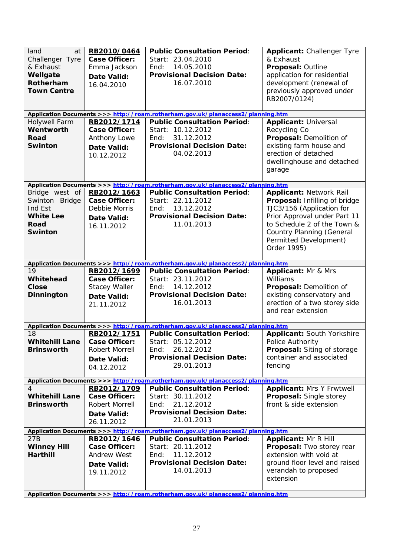| land<br>at<br>Challenger Tyre<br>& Exhaust<br>Wellgate<br>Rotherham<br><b>Town Centre</b> | RB2010/0464<br><b>Case Officer:</b><br>Emma Jackson<br>Date Valid:<br>16.04.2010                | <b>Public Consultation Period:</b><br>Start: 23.04.2010<br>14.05.2010<br>End:<br><b>Provisional Decision Date:</b><br>16.07.2010 | Applicant: Challenger Tyre<br>& Exhaust<br>Proposal: Outline<br>application for residential<br>development (renewal of<br>previously approved under<br>RB2007/0124)                                                                      |
|-------------------------------------------------------------------------------------------|-------------------------------------------------------------------------------------------------|----------------------------------------------------------------------------------------------------------------------------------|------------------------------------------------------------------------------------------------------------------------------------------------------------------------------------------------------------------------------------------|
|                                                                                           |                                                                                                 | Application Documents >>> http://roam.rotherham.gov.uk/planaccess2/planning.htm                                                  |                                                                                                                                                                                                                                          |
| Holywell Farm<br>Wentworth<br>Road<br><b>Swinton</b>                                      | RB2012/1714<br><b>Case Officer:</b><br>Anthony Lowe<br><b>Date Valid:</b><br>10.12.2012         | <b>Public Consultation Period:</b><br>Start: 10.12.2012<br>31.12.2012<br>End:<br><b>Provisional Decision Date:</b><br>04.02.2013 | <b>Applicant: Universal</b><br>Recycling Co<br>Proposal: Demolition of<br>existing farm house and<br>erection of detached<br>dwellinghouse and detached<br>garage                                                                        |
|                                                                                           |                                                                                                 | Application Documents >>> http://roam.rotherham.gov.uk/planaccess2/planning.htm                                                  |                                                                                                                                                                                                                                          |
| Bridge west of<br>Swinton Bridge<br>Ind Est<br><b>White Lee</b><br>Road<br><b>Swinton</b> | RB2012/1663<br><b>Case Officer:</b><br>Debbie Morris<br><b>Date Valid:</b><br>16.11.2012        | <b>Public Consultation Period:</b><br>Start: 22.11.2012<br>13.12.2012<br>End:<br><b>Provisional Decision Date:</b><br>11.01.2013 | <b>Applicant: Network Rail</b><br>Proposal: Infilling of bridge<br>TJC3/156 (Application for<br>Prior Approval under Part 11<br>to Schedule 2 of the Town &<br><b>Country Planning (General</b><br>Permitted Development)<br>Order 1995) |
|                                                                                           |                                                                                                 | Application Documents >>> http://roam.rotherham.gov.uk/planaccess2/planning.htm                                                  |                                                                                                                                                                                                                                          |
| 19<br>Whitehead<br><b>Close</b><br>Dinnington                                             | RB2012/1699<br><b>Case Officer:</b><br><b>Stacey Waller</b><br><b>Date Valid:</b><br>21.11.2012 | <b>Public Consultation Period:</b><br>Start: 23.11.2012<br>14.12.2012<br>End:<br><b>Provisional Decision Date:</b><br>16.01.2013 | Applicant: Mr & Mrs<br>Williams<br>Proposal: Demolition of<br>existing conservatory and<br>erection of a two storey side<br>and rear extension                                                                                           |
|                                                                                           |                                                                                                 | Application Documents >>> http://roam.rotherham.gov.uk/planaccess2/planning.htm                                                  |                                                                                                                                                                                                                                          |
| 18<br>Whitehill Lane   Case Officer:<br><b>Brinsworth</b>                                 | RB2012/1751<br>Robert Morrell<br>Date Valid:<br>04.12.2012                                      | <b>Public Consultation Period:</b><br>Start: 05.12.2012<br>26.12.2012<br>End:<br><b>Provisional Decision Date:</b><br>29.01.2013 | <b>Applicant: South Yorkshire</b><br>Police Authority<br>Proposal: Siting of storage<br>container and associated<br>fencing                                                                                                              |
|                                                                                           |                                                                                                 | Application Documents >>> http://roam.rotherham.gov.uk/planaccess2/planning.htm                                                  |                                                                                                                                                                                                                                          |
| <b>Whitehill Lane</b><br><b>Brinsworth</b>                                                | RB2012/1709<br><b>Case Officer:</b><br><b>Robert Morrell</b><br>Date Valid:<br>26.11.2012       | <b>Public Consultation Period:</b><br>Start: 30.11.2012<br>End:<br>21.12.2012<br><b>Provisional Decision Date:</b><br>21.01.2013 | <b>Applicant: Mrs Y Frwtwell</b><br>Proposal: Single storey<br>front & side extension                                                                                                                                                    |
|                                                                                           |                                                                                                 | Application Documents >>> http://roam.rotherham.gov.uk/planaccess2/planning.htm                                                  |                                                                                                                                                                                                                                          |
| 27B<br><b>Winney Hill</b><br><b>Harthill</b>                                              | RB2012/1646<br>Case Officer:<br><b>Andrew West</b><br>Date Valid:<br>19.11.2012                 | <b>Public Consultation Period:</b><br>Start: 20.11.2012<br>11.12.2012<br>End:<br><b>Provisional Decision Date:</b><br>14.01.2013 | <b>Applicant: Mr R Hill</b><br>Proposal: Two storey rear<br>extension with void at<br>ground floor level and raised<br>verandah to proposed<br>extension                                                                                 |